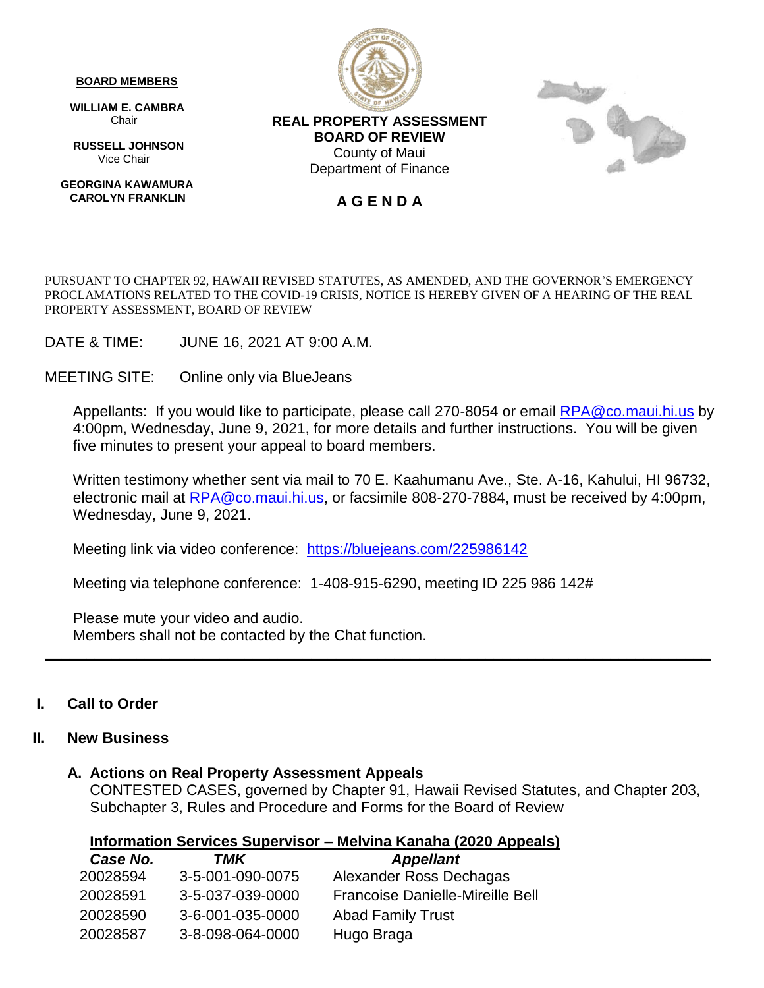#### **BOARD MEMBERS**

 **WILLIAM E. CAMBRA** Chair

 **RUSSELL JOHNSON** Vice Chair

 **GEORGINA KAWAMURA CAROLYN FRANKLIN**



**REAL PROPERTY ASSESSMENT BOARD OF REVIEW** County of Maui Department of Finance



#### **A G E N D A**

PURSUANT TO CHAPTER 92, HAWAII REVISED STATUTES, AS AMENDED, AND THE GOVERNOR'S EMERGENCY PROCLAMATIONS RELATED TO THE COVID-19 CRISIS, NOTICE IS HEREBY GIVEN OF A HEARING OF THE REAL PROPERTY ASSESSMENT, BOARD OF REVIEW

DATE & TIME: JUNE 16, 2021 AT 9:00 A.M.

MEETING SITE: Online only via BlueJeans

Appellants: If you would like to participate, please call 270-8054 or email [RPA@co.maui.hi.us](mailto:RPA@co.maui.hi.us) by 4:00pm, Wednesday, June 9, 2021, for more details and further instructions. You will be given five minutes to present your appeal to board members.

Written testimony whether sent via mail to 70 E. Kaahumanu Ave., Ste. A-16, Kahului, HI 96732, electronic mail at [RPA@co.maui.hi.us,](mailto:RPA@co.maui.hi.us) or facsimile 808-270-7884, must be received by 4:00pm, Wednesday, June 9, 2021.

**\_\_\_\_\_\_\_\_\_\_\_\_\_\_\_\_\_\_\_\_\_\_\_\_\_\_\_\_\_\_\_\_\_\_\_\_\_\_\_\_\_\_\_\_\_\_\_\_\_\_\_\_\_\_\_\_\_\_\_\_\_\_\_\_\_\_\_\_\_\_\_\_\_\_\_\_\_\_\_\_**

Meeting link via video conference: <https://bluejeans.com/225986142>

Meeting via telephone conference: 1-408-915-6290, meeting ID 225 986 142#

Please mute your video and audio. Members shall not be contacted by the Chat function.

#### **I. Call to Order**

#### **II. New Business**

#### **A. Actions on Real Property Assessment Appeals**

CONTESTED CASES, governed by Chapter 91, Hawaii Revised Statutes, and Chapter 203, Subchapter 3, Rules and Procedure and Forms for the Board of Review

| Case No. | TMK              | <b>Appellant</b>                        |
|----------|------------------|-----------------------------------------|
| 20028594 | 3-5-001-090-0075 | Alexander Ross Dechagas                 |
| 20028591 | 3-5-037-039-0000 | <b>Francoise Danielle-Mireille Bell</b> |
| 20028590 | 3-6-001-035-0000 | <b>Abad Family Trust</b>                |
| 20028587 | 3-8-098-064-0000 | Hugo Braga                              |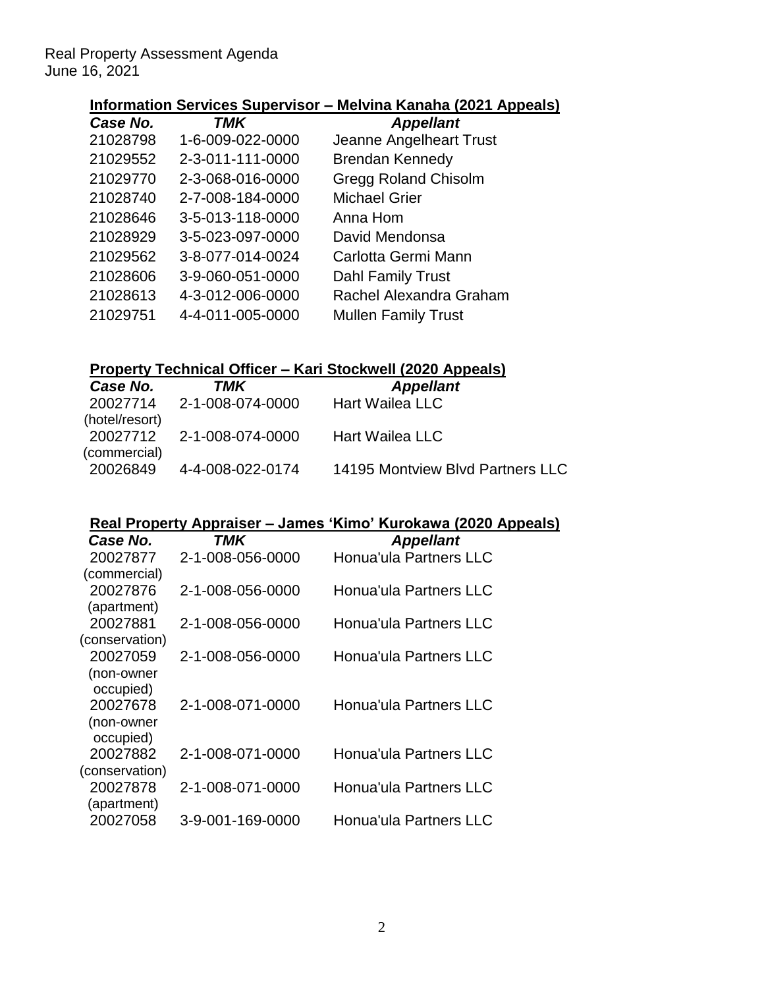### **Information Services Supervisor – Melvina Kanaha (2021 Appeals)**

| TMK              | <b>Appellant</b>            |
|------------------|-----------------------------|
| 1-6-009-022-0000 | Jeanne Angelheart Trust     |
| 2-3-011-111-0000 | <b>Brendan Kennedy</b>      |
| 2-3-068-016-0000 | <b>Gregg Roland Chisolm</b> |
| 2-7-008-184-0000 | <b>Michael Grier</b>        |
| 3-5-013-118-0000 | Anna Hom                    |
| 3-5-023-097-0000 | David Mendonsa              |
| 3-8-077-014-0024 | Carlotta Germi Mann         |
| 3-9-060-051-0000 | <b>Dahl Family Trust</b>    |
| 4-3-012-006-0000 | Rachel Alexandra Graham     |
| 4-4-011-005-0000 | <b>Mullen Family Trust</b>  |
|                  |                             |

### **Property Technical Officer – Kari Stockwell (2020 Appeals)**

| Case No.                       | TMK                       | <b>Appellant</b>                 |
|--------------------------------|---------------------------|----------------------------------|
|                                | 20027714 2-1-008-074-0000 | <b>Hart Wailea LLC</b>           |
| (hotel/resort)<br>(commercial) | 20027712 2-1-008-074-0000 | <b>Hart Wailea LLC</b>           |
| 20026849                       | 4-4-008-022-0174          | 14195 Montview Blvd Partners LLC |

| Case No.       | TMK              | <b>Appellant</b>       |
|----------------|------------------|------------------------|
| 20027877       | 2-1-008-056-0000 | Honua'ula Partners LLC |
| (commercial)   |                  |                        |
| 20027876       | 2-1-008-056-0000 | Honua'ula Partners LLC |
| (apartment)    |                  |                        |
| 20027881       | 2-1-008-056-0000 | Honua'ula Partners LLC |
| (conservation) |                  |                        |
| 20027059       | 2-1-008-056-0000 | Honua'ula Partners LLC |
| (non-owner     |                  |                        |
| occupied)      |                  |                        |
| 20027678       | 2-1-008-071-0000 | Honua'ula Partners LLC |
| (non-owner     |                  |                        |
| occupied)      |                  |                        |
| 20027882       | 2-1-008-071-0000 | Honua'ula Partners LLC |
| (conservation) |                  |                        |
| 20027878       | 2-1-008-071-0000 | Honua'ula Partners LLC |
| (apartment)    |                  |                        |
| 20027058       | 3-9-001-169-0000 | Honua'ula Partners LLC |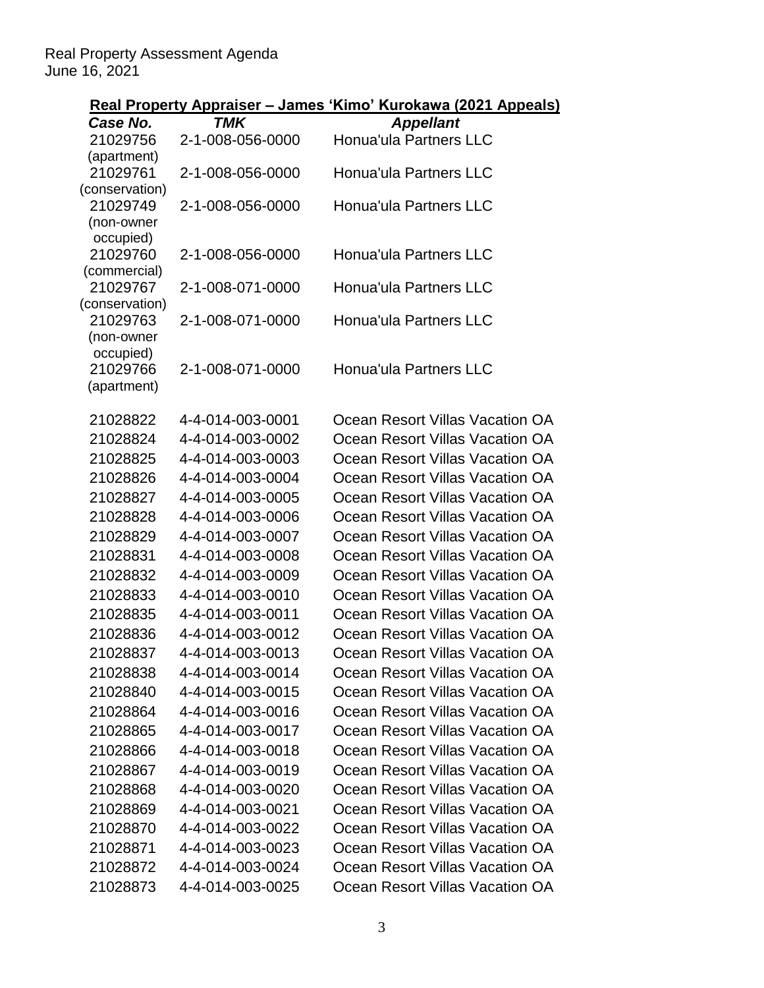|                            |                  | <u> Real Property Appraiser – James 'Kimo' Kurokawa (2021 Appeals)</u> |
|----------------------------|------------------|------------------------------------------------------------------------|
| Case No.                   | <b>TMK</b>       | <b>Appellant</b>                                                       |
| 21029756                   | 2-1-008-056-0000 | <b>Honua'ula Partners LLC</b>                                          |
| (apartment)                |                  |                                                                        |
| 21029761                   | 2-1-008-056-0000 | Honua'ula Partners LLC                                                 |
| (conservation)<br>21029749 |                  | Honua'ula Partners LLC                                                 |
| (non-owner                 | 2-1-008-056-0000 |                                                                        |
| occupied)                  |                  |                                                                        |
| 21029760                   | 2-1-008-056-0000 | Honua'ula Partners LLC                                                 |
| (commercial)               |                  |                                                                        |
| 21029767                   | 2-1-008-071-0000 | <b>Honua'ula Partners LLC</b>                                          |
| (conservation)             |                  |                                                                        |
| 21029763                   | 2-1-008-071-0000 | Honua'ula Partners LLC                                                 |
| (non-owner<br>occupied)    |                  |                                                                        |
| 21029766                   | 2-1-008-071-0000 | Honua'ula Partners LLC                                                 |
| (apartment)                |                  |                                                                        |
|                            |                  |                                                                        |
| 21028822                   | 4-4-014-003-0001 | Ocean Resort Villas Vacation OA                                        |
| 21028824                   | 4-4-014-003-0002 | Ocean Resort Villas Vacation OA                                        |
| 21028825                   | 4-4-014-003-0003 | Ocean Resort Villas Vacation OA                                        |
| 21028826                   | 4-4-014-003-0004 | Ocean Resort Villas Vacation OA                                        |
| 21028827                   | 4-4-014-003-0005 | Ocean Resort Villas Vacation OA                                        |
| 21028828                   | 4-4-014-003-0006 | Ocean Resort Villas Vacation OA                                        |
| 21028829                   | 4-4-014-003-0007 | Ocean Resort Villas Vacation OA                                        |
| 21028831                   | 4-4-014-003-0008 | Ocean Resort Villas Vacation OA                                        |
| 21028832                   | 4-4-014-003-0009 | Ocean Resort Villas Vacation OA                                        |
| 21028833                   | 4-4-014-003-0010 | Ocean Resort Villas Vacation OA                                        |
| 21028835                   | 4-4-014-003-0011 | Ocean Resort Villas Vacation OA                                        |
| 21028836                   | 4-4-014-003-0012 | Ocean Resort Villas Vacation OA                                        |
| 21028837                   | 4-4-014-003-0013 | Ocean Resort Villas Vacation OA                                        |
| 21028838                   | 4-4-014-003-0014 | Ocean Resort Villas Vacation OA                                        |
| 21028840                   | 4-4-014-003-0015 | Ocean Resort Villas Vacation OA                                        |
| 21028864                   | 4-4-014-003-0016 | Ocean Resort Villas Vacation OA                                        |
| 21028865                   | 4-4-014-003-0017 | Ocean Resort Villas Vacation OA                                        |
| 21028866                   | 4-4-014-003-0018 | Ocean Resort Villas Vacation OA                                        |
| 21028867                   | 4-4-014-003-0019 | Ocean Resort Villas Vacation OA                                        |
| 21028868                   | 4-4-014-003-0020 | Ocean Resort Villas Vacation OA                                        |
| 21028869                   | 4-4-014-003-0021 | Ocean Resort Villas Vacation OA                                        |
| 21028870                   | 4-4-014-003-0022 | Ocean Resort Villas Vacation OA                                        |
| 21028871                   | 4-4-014-003-0023 | Ocean Resort Villas Vacation OA                                        |
| 21028872                   | 4-4-014-003-0024 | Ocean Resort Villas Vacation OA                                        |
| 21028873                   | 4-4-014-003-0025 | Ocean Resort Villas Vacation OA                                        |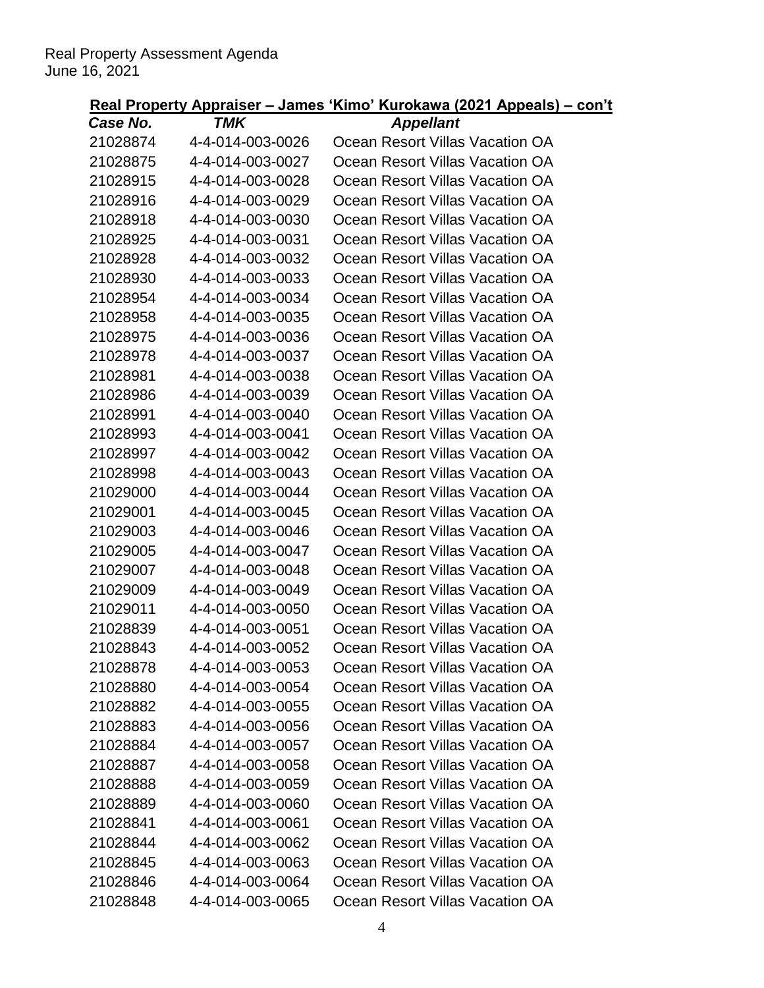| Case No. | TMK              | <b>Appellant</b>                |
|----------|------------------|---------------------------------|
| 21028874 | 4-4-014-003-0026 | Ocean Resort Villas Vacation OA |
| 21028875 | 4-4-014-003-0027 | Ocean Resort Villas Vacation OA |
| 21028915 | 4-4-014-003-0028 | Ocean Resort Villas Vacation OA |
| 21028916 | 4-4-014-003-0029 | Ocean Resort Villas Vacation OA |
| 21028918 | 4-4-014-003-0030 | Ocean Resort Villas Vacation OA |
| 21028925 | 4-4-014-003-0031 | Ocean Resort Villas Vacation OA |
| 21028928 | 4-4-014-003-0032 | Ocean Resort Villas Vacation OA |
| 21028930 | 4-4-014-003-0033 | Ocean Resort Villas Vacation OA |
| 21028954 | 4-4-014-003-0034 | Ocean Resort Villas Vacation OA |
| 21028958 | 4-4-014-003-0035 | Ocean Resort Villas Vacation OA |
| 21028975 | 4-4-014-003-0036 | Ocean Resort Villas Vacation OA |
| 21028978 | 4-4-014-003-0037 | Ocean Resort Villas Vacation OA |
| 21028981 | 4-4-014-003-0038 | Ocean Resort Villas Vacation OA |
| 21028986 | 4-4-014-003-0039 | Ocean Resort Villas Vacation OA |
| 21028991 | 4-4-014-003-0040 | Ocean Resort Villas Vacation OA |
| 21028993 | 4-4-014-003-0041 | Ocean Resort Villas Vacation OA |
| 21028997 | 4-4-014-003-0042 | Ocean Resort Villas Vacation OA |
| 21028998 | 4-4-014-003-0043 | Ocean Resort Villas Vacation OA |
| 21029000 | 4-4-014-003-0044 | Ocean Resort Villas Vacation OA |
| 21029001 | 4-4-014-003-0045 | Ocean Resort Villas Vacation OA |
| 21029003 | 4-4-014-003-0046 | Ocean Resort Villas Vacation OA |
| 21029005 | 4-4-014-003-0047 | Ocean Resort Villas Vacation OA |
| 21029007 | 4-4-014-003-0048 | Ocean Resort Villas Vacation OA |
| 21029009 | 4-4-014-003-0049 | Ocean Resort Villas Vacation OA |
| 21029011 | 4-4-014-003-0050 | Ocean Resort Villas Vacation OA |
| 21028839 | 4-4-014-003-0051 | Ocean Resort Villas Vacation OA |
| 21028843 | 4-4-014-003-0052 | Ocean Resort Villas Vacation OA |
| 21028878 | 4-4-014-003-0053 | Ocean Resort Villas Vacation OA |
| 21028880 | 4-4-014-003-0054 | Ocean Resort Villas Vacation OA |
| 21028882 | 4-4-014-003-0055 | Ocean Resort Villas Vacation OA |
| 21028883 | 4-4-014-003-0056 | Ocean Resort Villas Vacation OA |
| 21028884 | 4-4-014-003-0057 | Ocean Resort Villas Vacation OA |
| 21028887 | 4-4-014-003-0058 | Ocean Resort Villas Vacation OA |
| 21028888 | 4-4-014-003-0059 | Ocean Resort Villas Vacation OA |
| 21028889 | 4-4-014-003-0060 | Ocean Resort Villas Vacation OA |
| 21028841 | 4-4-014-003-0061 | Ocean Resort Villas Vacation OA |
| 21028844 | 4-4-014-003-0062 | Ocean Resort Villas Vacation OA |
| 21028845 | 4-4-014-003-0063 | Ocean Resort Villas Vacation OA |
| 21028846 | 4-4-014-003-0064 | Ocean Resort Villas Vacation OA |
| 21028848 | 4-4-014-003-0065 | Ocean Resort Villas Vacation OA |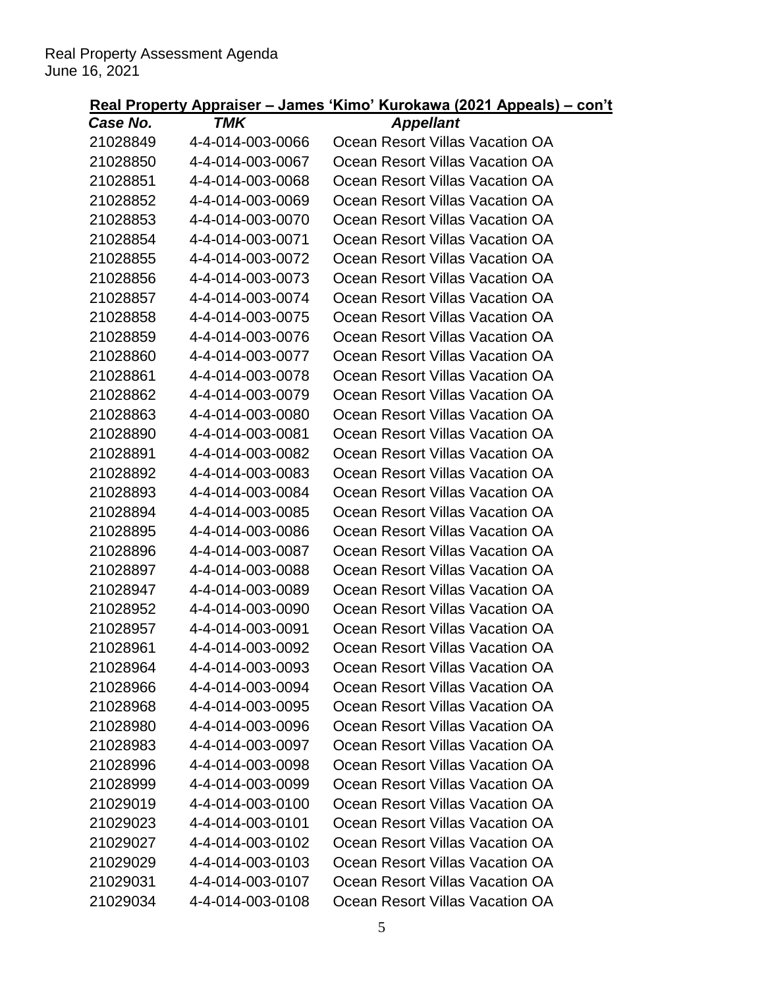| Case No. | <b>TMK</b>       | <b>Appellant</b>                |
|----------|------------------|---------------------------------|
| 21028849 | 4-4-014-003-0066 | Ocean Resort Villas Vacation OA |
| 21028850 | 4-4-014-003-0067 | Ocean Resort Villas Vacation OA |
| 21028851 | 4-4-014-003-0068 | Ocean Resort Villas Vacation OA |
| 21028852 | 4-4-014-003-0069 | Ocean Resort Villas Vacation OA |
| 21028853 | 4-4-014-003-0070 | Ocean Resort Villas Vacation OA |
| 21028854 | 4-4-014-003-0071 | Ocean Resort Villas Vacation OA |
| 21028855 | 4-4-014-003-0072 | Ocean Resort Villas Vacation OA |
| 21028856 | 4-4-014-003-0073 | Ocean Resort Villas Vacation OA |
| 21028857 | 4-4-014-003-0074 | Ocean Resort Villas Vacation OA |
| 21028858 | 4-4-014-003-0075 | Ocean Resort Villas Vacation OA |
| 21028859 | 4-4-014-003-0076 | Ocean Resort Villas Vacation OA |
| 21028860 | 4-4-014-003-0077 | Ocean Resort Villas Vacation OA |
| 21028861 | 4-4-014-003-0078 | Ocean Resort Villas Vacation OA |
| 21028862 | 4-4-014-003-0079 | Ocean Resort Villas Vacation OA |
| 21028863 | 4-4-014-003-0080 | Ocean Resort Villas Vacation OA |
| 21028890 | 4-4-014-003-0081 | Ocean Resort Villas Vacation OA |
| 21028891 | 4-4-014-003-0082 | Ocean Resort Villas Vacation OA |
| 21028892 | 4-4-014-003-0083 | Ocean Resort Villas Vacation OA |
| 21028893 | 4-4-014-003-0084 | Ocean Resort Villas Vacation OA |
| 21028894 | 4-4-014-003-0085 | Ocean Resort Villas Vacation OA |
| 21028895 | 4-4-014-003-0086 | Ocean Resort Villas Vacation OA |
| 21028896 | 4-4-014-003-0087 | Ocean Resort Villas Vacation OA |
| 21028897 | 4-4-014-003-0088 | Ocean Resort Villas Vacation OA |
| 21028947 | 4-4-014-003-0089 | Ocean Resort Villas Vacation OA |
| 21028952 | 4-4-014-003-0090 | Ocean Resort Villas Vacation OA |
| 21028957 | 4-4-014-003-0091 | Ocean Resort Villas Vacation OA |
| 21028961 | 4-4-014-003-0092 | Ocean Resort Villas Vacation OA |
| 21028964 | 4-4-014-003-0093 | Ocean Resort Villas Vacation OA |
| 21028966 | 4-4-014-003-0094 | Ocean Resort Villas Vacation OA |
| 21028968 | 4-4-014-003-0095 | Ocean Resort Villas Vacation OA |
| 21028980 | 4-4-014-003-0096 | Ocean Resort Villas Vacation OA |
| 21028983 | 4-4-014-003-0097 | Ocean Resort Villas Vacation OA |
| 21028996 | 4-4-014-003-0098 | Ocean Resort Villas Vacation OA |
| 21028999 | 4-4-014-003-0099 | Ocean Resort Villas Vacation OA |
| 21029019 | 4-4-014-003-0100 | Ocean Resort Villas Vacation OA |
| 21029023 | 4-4-014-003-0101 | Ocean Resort Villas Vacation OA |
| 21029027 | 4-4-014-003-0102 | Ocean Resort Villas Vacation OA |
| 21029029 | 4-4-014-003-0103 | Ocean Resort Villas Vacation OA |
| 21029031 | 4-4-014-003-0107 | Ocean Resort Villas Vacation OA |
| 21029034 | 4-4-014-003-0108 | Ocean Resort Villas Vacation OA |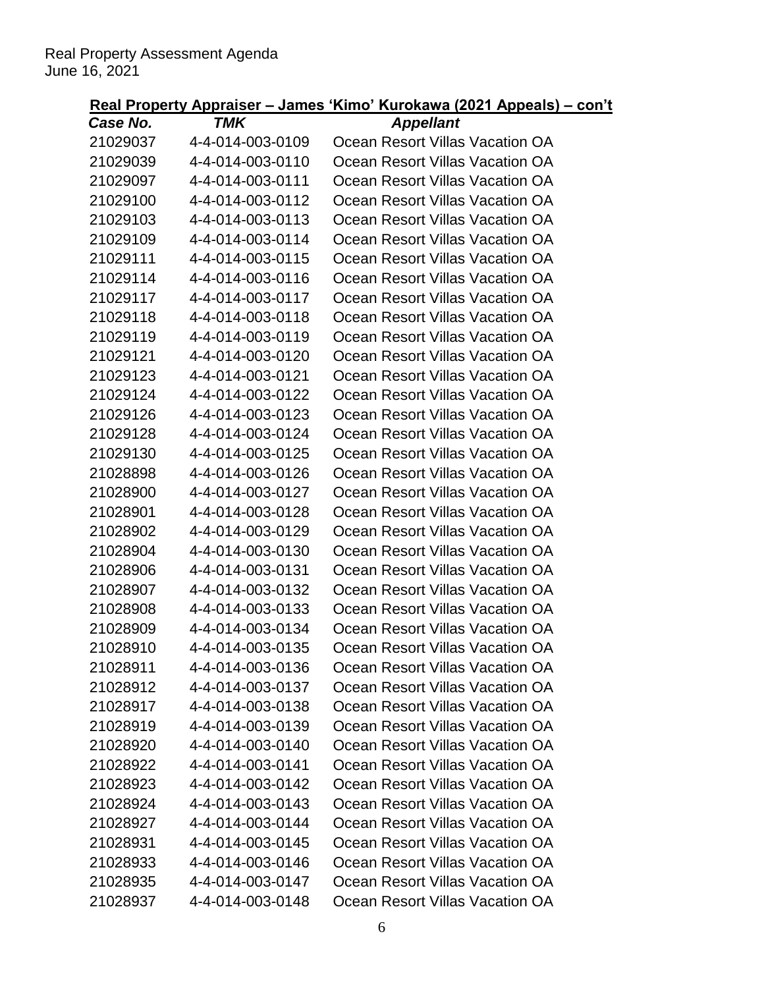| Case No. | TMK              | <b>Appellant</b>                |
|----------|------------------|---------------------------------|
| 21029037 | 4-4-014-003-0109 | Ocean Resort Villas Vacation OA |
| 21029039 | 4-4-014-003-0110 | Ocean Resort Villas Vacation OA |
| 21029097 | 4-4-014-003-0111 | Ocean Resort Villas Vacation OA |
| 21029100 | 4-4-014-003-0112 | Ocean Resort Villas Vacation OA |
| 21029103 | 4-4-014-003-0113 | Ocean Resort Villas Vacation OA |
| 21029109 | 4-4-014-003-0114 | Ocean Resort Villas Vacation OA |
| 21029111 | 4-4-014-003-0115 | Ocean Resort Villas Vacation OA |
| 21029114 | 4-4-014-003-0116 | Ocean Resort Villas Vacation OA |
| 21029117 | 4-4-014-003-0117 | Ocean Resort Villas Vacation OA |
| 21029118 | 4-4-014-003-0118 | Ocean Resort Villas Vacation OA |
| 21029119 | 4-4-014-003-0119 | Ocean Resort Villas Vacation OA |
| 21029121 | 4-4-014-003-0120 | Ocean Resort Villas Vacation OA |
| 21029123 | 4-4-014-003-0121 | Ocean Resort Villas Vacation OA |
| 21029124 | 4-4-014-003-0122 | Ocean Resort Villas Vacation OA |
| 21029126 | 4-4-014-003-0123 | Ocean Resort Villas Vacation OA |
| 21029128 | 4-4-014-003-0124 | Ocean Resort Villas Vacation OA |
| 21029130 | 4-4-014-003-0125 | Ocean Resort Villas Vacation OA |
| 21028898 | 4-4-014-003-0126 | Ocean Resort Villas Vacation OA |
| 21028900 | 4-4-014-003-0127 | Ocean Resort Villas Vacation OA |
| 21028901 | 4-4-014-003-0128 | Ocean Resort Villas Vacation OA |
| 21028902 | 4-4-014-003-0129 | Ocean Resort Villas Vacation OA |
| 21028904 | 4-4-014-003-0130 | Ocean Resort Villas Vacation OA |
| 21028906 | 4-4-014-003-0131 | Ocean Resort Villas Vacation OA |
| 21028907 | 4-4-014-003-0132 | Ocean Resort Villas Vacation OA |
| 21028908 | 4-4-014-003-0133 | Ocean Resort Villas Vacation OA |
| 21028909 | 4-4-014-003-0134 | Ocean Resort Villas Vacation OA |
| 21028910 | 4-4-014-003-0135 | Ocean Resort Villas Vacation OA |
| 21028911 | 4-4-014-003-0136 | Ocean Resort Villas Vacation OA |
| 21028912 | 4-4-014-003-0137 | Ocean Resort Villas Vacation OA |
| 21028917 | 4-4-014-003-0138 | Ocean Resort Villas Vacation OA |
| 21028919 | 4-4-014-003-0139 | Ocean Resort Villas Vacation OA |
| 21028920 | 4-4-014-003-0140 | Ocean Resort Villas Vacation OA |
| 21028922 | 4-4-014-003-0141 | Ocean Resort Villas Vacation OA |
| 21028923 | 4-4-014-003-0142 | Ocean Resort Villas Vacation OA |
| 21028924 | 4-4-014-003-0143 | Ocean Resort Villas Vacation OA |
| 21028927 | 4-4-014-003-0144 | Ocean Resort Villas Vacation OA |
| 21028931 | 4-4-014-003-0145 | Ocean Resort Villas Vacation OA |
| 21028933 | 4-4-014-003-0146 | Ocean Resort Villas Vacation OA |
| 21028935 | 4-4-014-003-0147 | Ocean Resort Villas Vacation OA |
| 21028937 | 4-4-014-003-0148 | Ocean Resort Villas Vacation OA |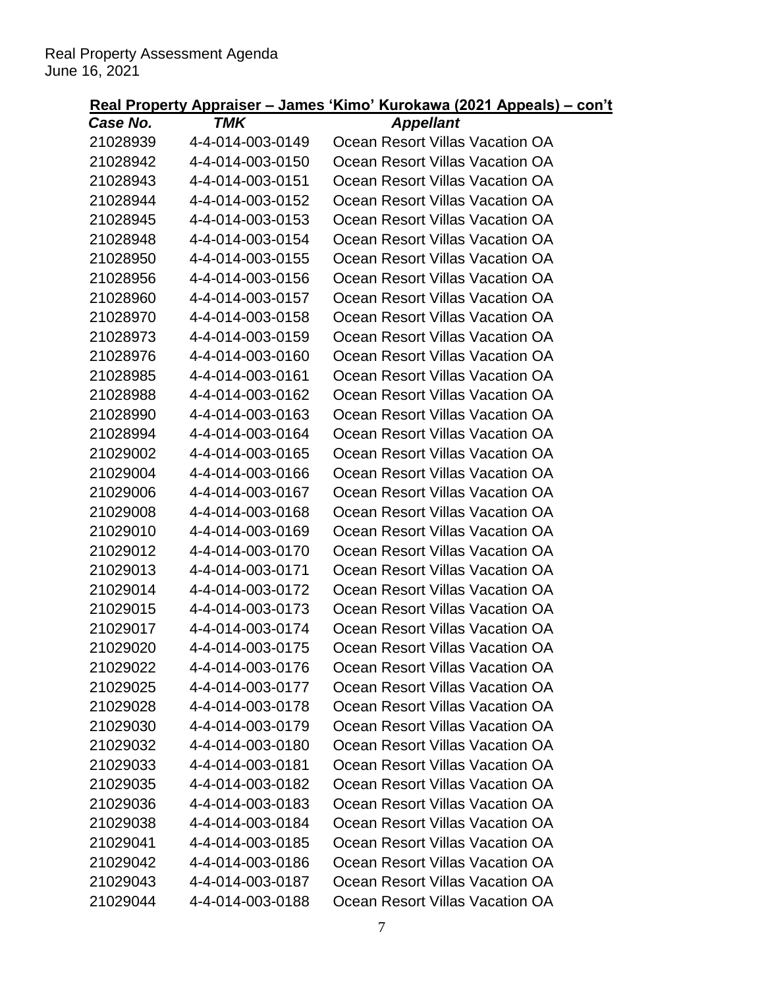| Case No. | <b>TMK</b>       | <b>Appellant</b>                |
|----------|------------------|---------------------------------|
| 21028939 | 4-4-014-003-0149 | Ocean Resort Villas Vacation OA |
| 21028942 | 4-4-014-003-0150 | Ocean Resort Villas Vacation OA |
| 21028943 | 4-4-014-003-0151 | Ocean Resort Villas Vacation OA |
| 21028944 | 4-4-014-003-0152 | Ocean Resort Villas Vacation OA |
| 21028945 | 4-4-014-003-0153 | Ocean Resort Villas Vacation OA |
| 21028948 | 4-4-014-003-0154 | Ocean Resort Villas Vacation OA |
| 21028950 | 4-4-014-003-0155 | Ocean Resort Villas Vacation OA |
| 21028956 | 4-4-014-003-0156 | Ocean Resort Villas Vacation OA |
| 21028960 | 4-4-014-003-0157 | Ocean Resort Villas Vacation OA |
| 21028970 | 4-4-014-003-0158 | Ocean Resort Villas Vacation OA |
| 21028973 | 4-4-014-003-0159 | Ocean Resort Villas Vacation OA |
| 21028976 | 4-4-014-003-0160 | Ocean Resort Villas Vacation OA |
| 21028985 | 4-4-014-003-0161 | Ocean Resort Villas Vacation OA |
| 21028988 | 4-4-014-003-0162 | Ocean Resort Villas Vacation OA |
| 21028990 | 4-4-014-003-0163 | Ocean Resort Villas Vacation OA |
| 21028994 | 4-4-014-003-0164 | Ocean Resort Villas Vacation OA |
| 21029002 | 4-4-014-003-0165 | Ocean Resort Villas Vacation OA |
| 21029004 | 4-4-014-003-0166 | Ocean Resort Villas Vacation OA |
| 21029006 | 4-4-014-003-0167 | Ocean Resort Villas Vacation OA |
| 21029008 | 4-4-014-003-0168 | Ocean Resort Villas Vacation OA |
| 21029010 | 4-4-014-003-0169 | Ocean Resort Villas Vacation OA |
| 21029012 | 4-4-014-003-0170 | Ocean Resort Villas Vacation OA |
| 21029013 | 4-4-014-003-0171 | Ocean Resort Villas Vacation OA |
| 21029014 | 4-4-014-003-0172 | Ocean Resort Villas Vacation OA |
| 21029015 | 4-4-014-003-0173 | Ocean Resort Villas Vacation OA |
| 21029017 | 4-4-014-003-0174 | Ocean Resort Villas Vacation OA |
| 21029020 | 4-4-014-003-0175 | Ocean Resort Villas Vacation OA |
| 21029022 | 4-4-014-003-0176 | Ocean Resort Villas Vacation OA |
| 21029025 | 4-4-014-003-0177 | Ocean Resort Villas Vacation OA |
| 21029028 | 4-4-014-003-0178 | Ocean Resort Villas Vacation OA |
| 21029030 | 4-4-014-003-0179 | Ocean Resort Villas Vacation OA |
| 21029032 | 4-4-014-003-0180 | Ocean Resort Villas Vacation OA |
| 21029033 | 4-4-014-003-0181 | Ocean Resort Villas Vacation OA |
| 21029035 | 4-4-014-003-0182 | Ocean Resort Villas Vacation OA |
| 21029036 | 4-4-014-003-0183 | Ocean Resort Villas Vacation OA |
| 21029038 | 4-4-014-003-0184 | Ocean Resort Villas Vacation OA |
| 21029041 | 4-4-014-003-0185 | Ocean Resort Villas Vacation OA |
| 21029042 | 4-4-014-003-0186 | Ocean Resort Villas Vacation OA |
| 21029043 | 4-4-014-003-0187 | Ocean Resort Villas Vacation OA |
| 21029044 | 4-4-014-003-0188 | Ocean Resort Villas Vacation OA |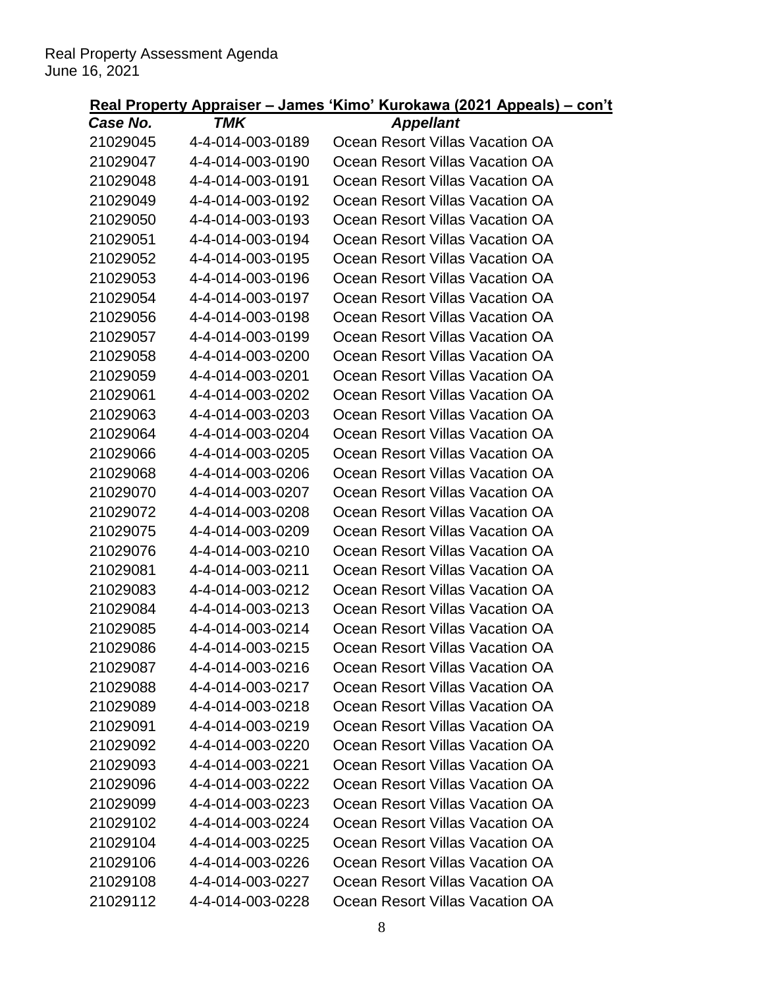| Case No. | TMK              | <b>Appellant</b>                |
|----------|------------------|---------------------------------|
| 21029045 | 4-4-014-003-0189 | Ocean Resort Villas Vacation OA |
| 21029047 | 4-4-014-003-0190 | Ocean Resort Villas Vacation OA |
| 21029048 | 4-4-014-003-0191 | Ocean Resort Villas Vacation OA |
| 21029049 | 4-4-014-003-0192 | Ocean Resort Villas Vacation OA |
| 21029050 | 4-4-014-003-0193 | Ocean Resort Villas Vacation OA |
| 21029051 | 4-4-014-003-0194 | Ocean Resort Villas Vacation OA |
| 21029052 | 4-4-014-003-0195 | Ocean Resort Villas Vacation OA |
| 21029053 | 4-4-014-003-0196 | Ocean Resort Villas Vacation OA |
| 21029054 | 4-4-014-003-0197 | Ocean Resort Villas Vacation OA |
| 21029056 | 4-4-014-003-0198 | Ocean Resort Villas Vacation OA |
| 21029057 | 4-4-014-003-0199 | Ocean Resort Villas Vacation OA |
| 21029058 | 4-4-014-003-0200 | Ocean Resort Villas Vacation OA |
| 21029059 | 4-4-014-003-0201 | Ocean Resort Villas Vacation OA |
| 21029061 | 4-4-014-003-0202 | Ocean Resort Villas Vacation OA |
| 21029063 | 4-4-014-003-0203 | Ocean Resort Villas Vacation OA |
| 21029064 | 4-4-014-003-0204 | Ocean Resort Villas Vacation OA |
| 21029066 | 4-4-014-003-0205 | Ocean Resort Villas Vacation OA |
| 21029068 | 4-4-014-003-0206 | Ocean Resort Villas Vacation OA |
| 21029070 | 4-4-014-003-0207 | Ocean Resort Villas Vacation OA |
| 21029072 | 4-4-014-003-0208 | Ocean Resort Villas Vacation OA |
| 21029075 | 4-4-014-003-0209 | Ocean Resort Villas Vacation OA |
| 21029076 | 4-4-014-003-0210 | Ocean Resort Villas Vacation OA |
| 21029081 | 4-4-014-003-0211 | Ocean Resort Villas Vacation OA |
| 21029083 | 4-4-014-003-0212 | Ocean Resort Villas Vacation OA |
| 21029084 | 4-4-014-003-0213 | Ocean Resort Villas Vacation OA |
| 21029085 | 4-4-014-003-0214 | Ocean Resort Villas Vacation OA |
| 21029086 | 4-4-014-003-0215 | Ocean Resort Villas Vacation OA |
| 21029087 | 4-4-014-003-0216 | Ocean Resort Villas Vacation OA |
| 21029088 | 4-4-014-003-0217 | Ocean Resort Villas Vacation OA |
| 21029089 | 4-4-014-003-0218 | Ocean Resort Villas Vacation OA |
| 21029091 | 4-4-014-003-0219 | Ocean Resort Villas Vacation OA |
| 21029092 | 4-4-014-003-0220 | Ocean Resort Villas Vacation OA |
| 21029093 | 4-4-014-003-0221 | Ocean Resort Villas Vacation OA |
| 21029096 | 4-4-014-003-0222 | Ocean Resort Villas Vacation OA |
| 21029099 | 4-4-014-003-0223 | Ocean Resort Villas Vacation OA |
| 21029102 | 4-4-014-003-0224 | Ocean Resort Villas Vacation OA |
| 21029104 | 4-4-014-003-0225 | Ocean Resort Villas Vacation OA |
| 21029106 | 4-4-014-003-0226 | Ocean Resort Villas Vacation OA |
| 21029108 | 4-4-014-003-0227 | Ocean Resort Villas Vacation OA |
| 21029112 | 4-4-014-003-0228 | Ocean Resort Villas Vacation OA |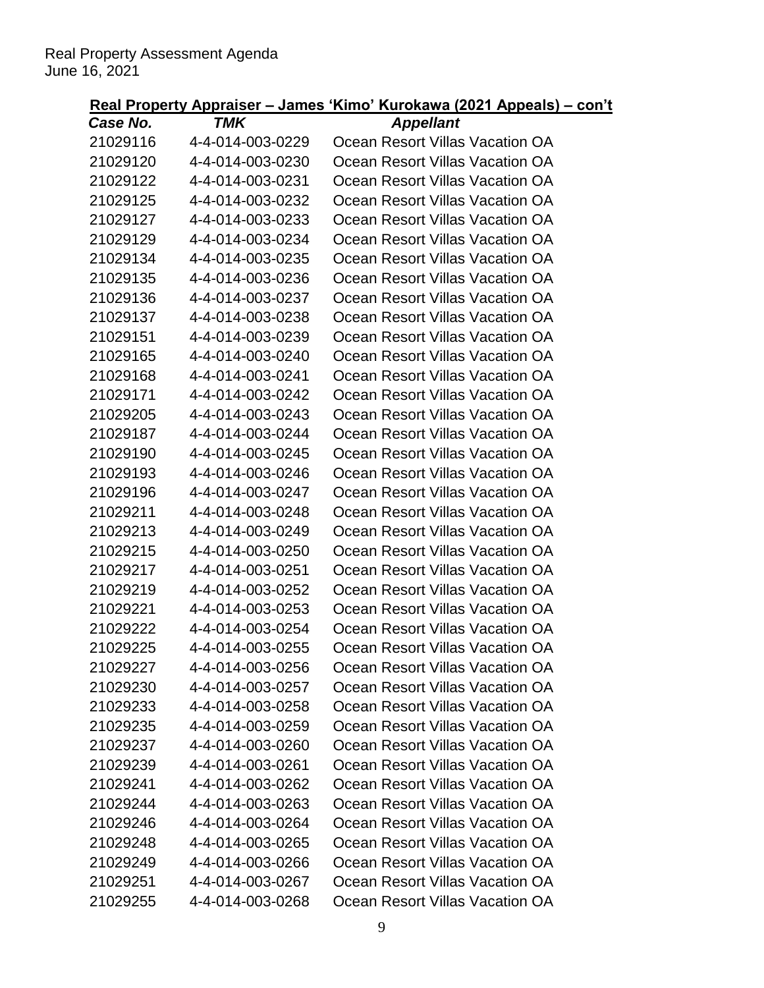| Case No. | <b>TMK</b>       | <b>Appellant</b>                |
|----------|------------------|---------------------------------|
| 21029116 | 4-4-014-003-0229 | Ocean Resort Villas Vacation OA |
| 21029120 | 4-4-014-003-0230 | Ocean Resort Villas Vacation OA |
| 21029122 | 4-4-014-003-0231 | Ocean Resort Villas Vacation OA |
| 21029125 | 4-4-014-003-0232 | Ocean Resort Villas Vacation OA |
| 21029127 | 4-4-014-003-0233 | Ocean Resort Villas Vacation OA |
| 21029129 | 4-4-014-003-0234 | Ocean Resort Villas Vacation OA |
| 21029134 | 4-4-014-003-0235 | Ocean Resort Villas Vacation OA |
| 21029135 | 4-4-014-003-0236 | Ocean Resort Villas Vacation OA |
| 21029136 | 4-4-014-003-0237 | Ocean Resort Villas Vacation OA |
| 21029137 | 4-4-014-003-0238 | Ocean Resort Villas Vacation OA |
| 21029151 | 4-4-014-003-0239 | Ocean Resort Villas Vacation OA |
| 21029165 | 4-4-014-003-0240 | Ocean Resort Villas Vacation OA |
| 21029168 | 4-4-014-003-0241 | Ocean Resort Villas Vacation OA |
| 21029171 | 4-4-014-003-0242 | Ocean Resort Villas Vacation OA |
| 21029205 | 4-4-014-003-0243 | Ocean Resort Villas Vacation OA |
| 21029187 | 4-4-014-003-0244 | Ocean Resort Villas Vacation OA |
| 21029190 | 4-4-014-003-0245 | Ocean Resort Villas Vacation OA |
| 21029193 | 4-4-014-003-0246 | Ocean Resort Villas Vacation OA |
| 21029196 | 4-4-014-003-0247 | Ocean Resort Villas Vacation OA |
| 21029211 | 4-4-014-003-0248 | Ocean Resort Villas Vacation OA |
| 21029213 | 4-4-014-003-0249 | Ocean Resort Villas Vacation OA |
| 21029215 | 4-4-014-003-0250 | Ocean Resort Villas Vacation OA |
| 21029217 | 4-4-014-003-0251 | Ocean Resort Villas Vacation OA |
| 21029219 | 4-4-014-003-0252 | Ocean Resort Villas Vacation OA |
| 21029221 | 4-4-014-003-0253 | Ocean Resort Villas Vacation OA |
| 21029222 | 4-4-014-003-0254 | Ocean Resort Villas Vacation OA |
| 21029225 | 4-4-014-003-0255 | Ocean Resort Villas Vacation OA |
| 21029227 | 4-4-014-003-0256 | Ocean Resort Villas Vacation OA |
| 21029230 | 4-4-014-003-0257 | Ocean Resort Villas Vacation OA |
| 21029233 | 4-4-014-003-0258 | Ocean Resort Villas Vacation OA |
| 21029235 | 4-4-014-003-0259 | Ocean Resort Villas Vacation OA |
| 21029237 | 4-4-014-003-0260 | Ocean Resort Villas Vacation OA |
| 21029239 | 4-4-014-003-0261 | Ocean Resort Villas Vacation OA |
| 21029241 | 4-4-014-003-0262 | Ocean Resort Villas Vacation OA |
| 21029244 | 4-4-014-003-0263 | Ocean Resort Villas Vacation OA |
| 21029246 | 4-4-014-003-0264 | Ocean Resort Villas Vacation OA |
| 21029248 | 4-4-014-003-0265 | Ocean Resort Villas Vacation OA |
| 21029249 | 4-4-014-003-0266 | Ocean Resort Villas Vacation OA |
| 21029251 | 4-4-014-003-0267 | Ocean Resort Villas Vacation OA |
| 21029255 | 4-4-014-003-0268 | Ocean Resort Villas Vacation OA |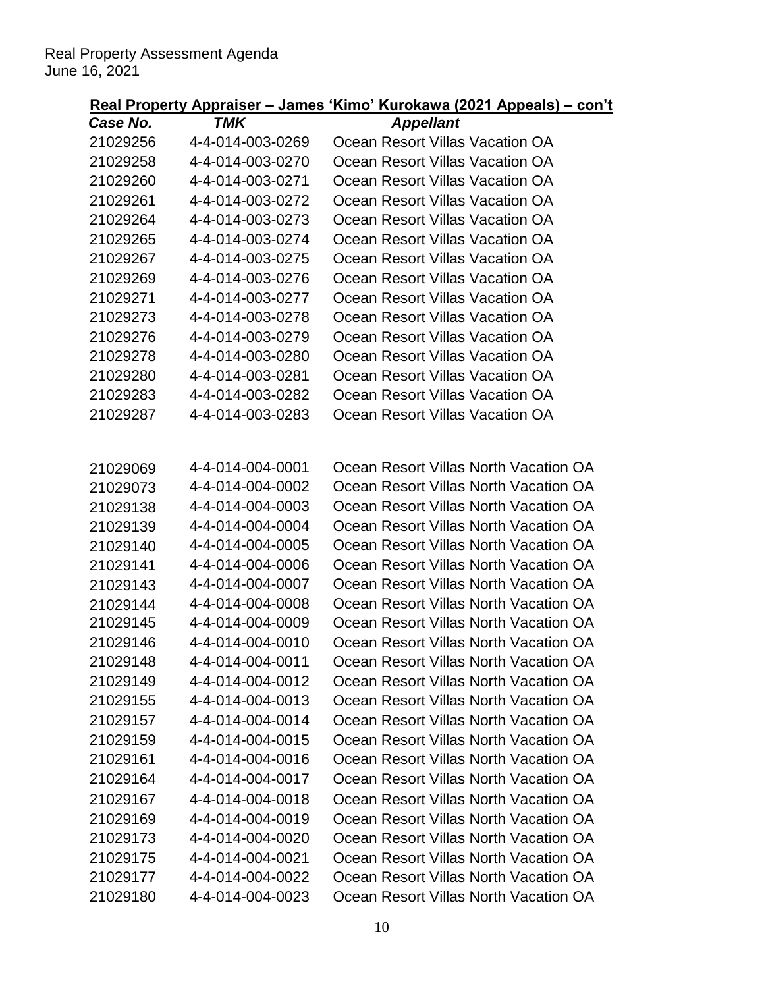|             |            | Real Property Appraiser – James 'Kimo' Kurokawa (2021 Appeals) – con't |
|-------------|------------|------------------------------------------------------------------------|
| $Casea$ No. | <b>TMK</b> | Annollant                                                              |

| Case No.             | TMK              | <b>Appellant</b>                      |
|----------------------|------------------|---------------------------------------|
| 21029256             | 4-4-014-003-0269 | Ocean Resort Villas Vacation OA       |
| 21029258             | 4-4-014-003-0270 | Ocean Resort Villas Vacation OA       |
| 21029260             | 4-4-014-003-0271 | Ocean Resort Villas Vacation OA       |
| 21029261             | 4-4-014-003-0272 | Ocean Resort Villas Vacation OA       |
| 21029264             | 4-4-014-003-0273 | Ocean Resort Villas Vacation OA       |
| 21029265             | 4-4-014-003-0274 | Ocean Resort Villas Vacation OA       |
| 21029267             | 4-4-014-003-0275 | Ocean Resort Villas Vacation OA       |
| 21029269             | 4-4-014-003-0276 | Ocean Resort Villas Vacation OA       |
| 21029271             | 4-4-014-003-0277 | Ocean Resort Villas Vacation OA       |
| 21029273             | 4-4-014-003-0278 | Ocean Resort Villas Vacation OA       |
| 21029276             | 4-4-014-003-0279 | Ocean Resort Villas Vacation OA       |
| 21029278             | 4-4-014-003-0280 | Ocean Resort Villas Vacation OA       |
| 21029280             | 4-4-014-003-0281 | Ocean Resort Villas Vacation OA       |
| 21029283             | 4-4-014-003-0282 | Ocean Resort Villas Vacation OA       |
| 21029287             | 4-4-014-003-0283 | Ocean Resort Villas Vacation OA       |
|                      |                  |                                       |
|                      | 4-4-014-004-0001 | Ocean Resort Villas North Vacation OA |
| 21029069             | 4-4-014-004-0002 | Ocean Resort Villas North Vacation OA |
| 21029073             | 4-4-014-004-0003 | Ocean Resort Villas North Vacation OA |
| 21029138<br>21029139 | 4-4-014-004-0004 | Ocean Resort Villas North Vacation OA |
| 21029140             | 4-4-014-004-0005 | Ocean Resort Villas North Vacation OA |
| 21029141             | 4-4-014-004-0006 | Ocean Resort Villas North Vacation OA |
| 21029143             | 4-4-014-004-0007 | Ocean Resort Villas North Vacation OA |
| 21029144             | 4-4-014-004-0008 | Ocean Resort Villas North Vacation OA |
| 21029145             | 4-4-014-004-0009 | Ocean Resort Villas North Vacation OA |
| 21029146             | 4-4-014-004-0010 | Ocean Resort Villas North Vacation OA |
| 21029148             | 4-4-014-004-0011 | Ocean Resort Villas North Vacation OA |
| 21029149             | 4-4-014-004-0012 | Ocean Resort Villas North Vacation OA |
| 21029155             | 4-4-014-004-0013 | Ocean Resort Villas North Vacation OA |
| 21029157             | 4-4-014-004-0014 | Ocean Resort Villas North Vacation OA |
| 21029159             | 4-4-014-004-0015 | Ocean Resort Villas North Vacation OA |
| 21029161             | 4-4-014-004-0016 | Ocean Resort Villas North Vacation OA |
| 21029164             | 4-4-014-004-0017 | Ocean Resort Villas North Vacation OA |
| 21029167             | 4-4-014-004-0018 | Ocean Resort Villas North Vacation OA |
| 21029169             | 4-4-014-004-0019 | Ocean Resort Villas North Vacation OA |
| 21029173             | 4-4-014-004-0020 | Ocean Resort Villas North Vacation OA |
| 21029175             | 4-4-014-004-0021 | Ocean Resort Villas North Vacation OA |
| 21029177             | 4-4-014-004-0022 | Ocean Resort Villas North Vacation OA |
| 21029180             | 4-4-014-004-0023 | Ocean Resort Villas North Vacation OA |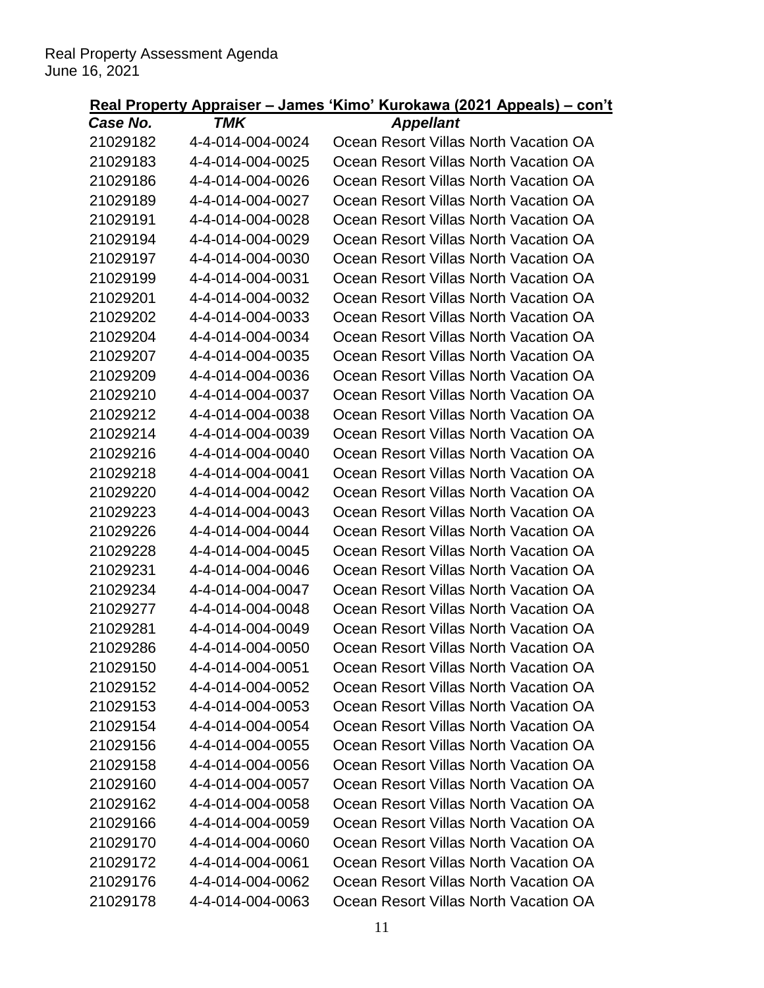| Case No. | I MK             | Appellant                             |
|----------|------------------|---------------------------------------|
| 21029182 | 4-4-014-004-0024 | Ocean Resort Villas North Vacation OA |
| 21029183 | 4-4-014-004-0025 | Ocean Resort Villas North Vacation OA |
| 21029186 | 4-4-014-004-0026 | Ocean Resort Villas North Vacation OA |
| 21029189 | 4-4-014-004-0027 | Ocean Resort Villas North Vacation OA |
| 21029191 | 4-4-014-004-0028 | Ocean Resort Villas North Vacation OA |
| 21029194 | 4-4-014-004-0029 | Ocean Resort Villas North Vacation OA |
| 21029197 | 4-4-014-004-0030 | Ocean Resort Villas North Vacation OA |
| 21029199 | 4-4-014-004-0031 | Ocean Resort Villas North Vacation OA |
| 21029201 | 4-4-014-004-0032 | Ocean Resort Villas North Vacation OA |
| 21029202 | 4-4-014-004-0033 | Ocean Resort Villas North Vacation OA |
| 21029204 | 4-4-014-004-0034 | Ocean Resort Villas North Vacation OA |
| 21029207 | 4-4-014-004-0035 | Ocean Resort Villas North Vacation OA |
| 21029209 | 4-4-014-004-0036 | Ocean Resort Villas North Vacation OA |
| 21029210 | 4-4-014-004-0037 | Ocean Resort Villas North Vacation OA |
| 21029212 | 4-4-014-004-0038 | Ocean Resort Villas North Vacation OA |
| 21029214 | 4-4-014-004-0039 | Ocean Resort Villas North Vacation OA |
| 21029216 | 4-4-014-004-0040 | Ocean Resort Villas North Vacation OA |
| 21029218 | 4-4-014-004-0041 | Ocean Resort Villas North Vacation OA |
| 21029220 | 4-4-014-004-0042 | Ocean Resort Villas North Vacation OA |
| 21029223 | 4-4-014-004-0043 | Ocean Resort Villas North Vacation OA |
| 21029226 | 4-4-014-004-0044 | Ocean Resort Villas North Vacation OA |
| 21029228 | 4-4-014-004-0045 | Ocean Resort Villas North Vacation OA |
| 21029231 | 4-4-014-004-0046 | Ocean Resort Villas North Vacation OA |
| 21029234 | 4-4-014-004-0047 | Ocean Resort Villas North Vacation OA |
| 21029277 | 4-4-014-004-0048 | Ocean Resort Villas North Vacation OA |
| 21029281 | 4-4-014-004-0049 | Ocean Resort Villas North Vacation OA |
| 21029286 | 4-4-014-004-0050 | Ocean Resort Villas North Vacation OA |
| 21029150 | 4-4-014-004-0051 | Ocean Resort Villas North Vacation OA |
| 21029152 | 4-4-014-004-0052 | Ocean Resort Villas North Vacation OA |
| 21029153 | 4-4-014-004-0053 | Ocean Resort Villas North Vacation OA |
| 21029154 | 4-4-014-004-0054 | Ocean Resort Villas North Vacation OA |
| 21029156 | 4-4-014-004-0055 | Ocean Resort Villas North Vacation OA |
| 21029158 | 4-4-014-004-0056 | Ocean Resort Villas North Vacation OA |
| 21029160 | 4-4-014-004-0057 | Ocean Resort Villas North Vacation OA |
| 21029162 | 4-4-014-004-0058 | Ocean Resort Villas North Vacation OA |
| 21029166 | 4-4-014-004-0059 | Ocean Resort Villas North Vacation OA |
| 21029170 | 4-4-014-004-0060 | Ocean Resort Villas North Vacation OA |
| 21029172 | 4-4-014-004-0061 | Ocean Resort Villas North Vacation OA |
| 21029176 | 4-4-014-004-0062 | Ocean Resort Villas North Vacation OA |
| 21029178 | 4-4-014-004-0063 | Ocean Resort Villas North Vacation OA |
|          |                  |                                       |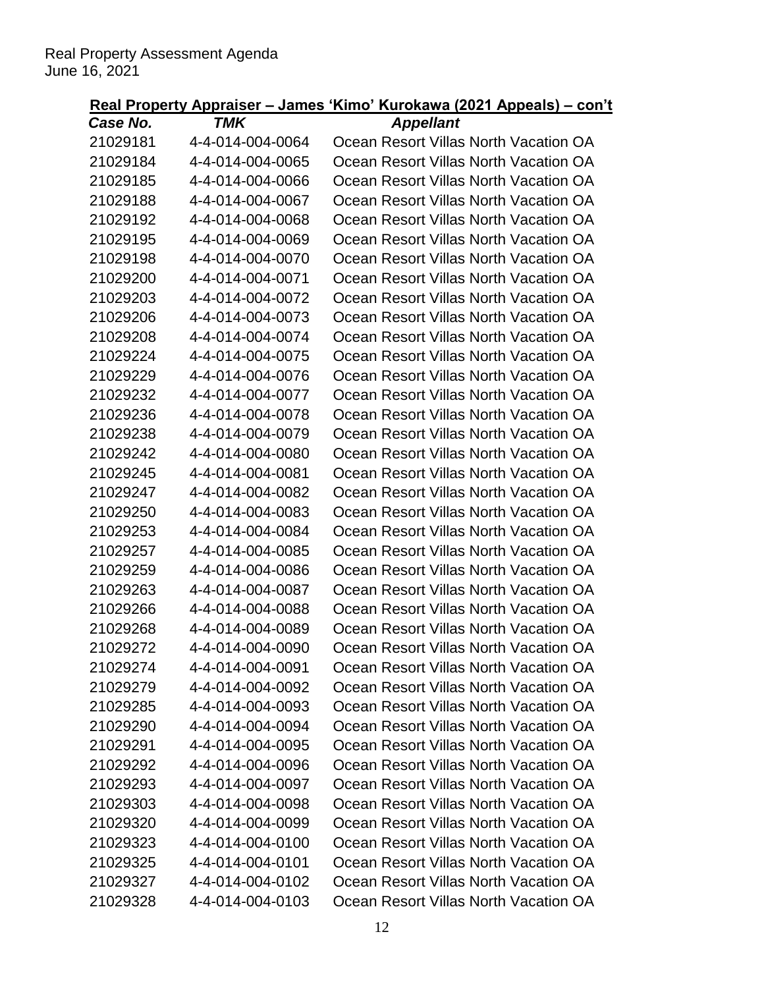| I MK             | Appellant                             |
|------------------|---------------------------------------|
| 4-4-014-004-0064 | Ocean Resort Villas North Vacation OA |
| 4-4-014-004-0065 | Ocean Resort Villas North Vacation OA |
| 4-4-014-004-0066 | Ocean Resort Villas North Vacation OA |
| 4-4-014-004-0067 | Ocean Resort Villas North Vacation OA |
| 4-4-014-004-0068 | Ocean Resort Villas North Vacation OA |
| 4-4-014-004-0069 | Ocean Resort Villas North Vacation OA |
| 4-4-014-004-0070 | Ocean Resort Villas North Vacation OA |
| 4-4-014-004-0071 | Ocean Resort Villas North Vacation OA |
| 4-4-014-004-0072 | Ocean Resort Villas North Vacation OA |
| 4-4-014-004-0073 | Ocean Resort Villas North Vacation OA |
| 4-4-014-004-0074 | Ocean Resort Villas North Vacation OA |
| 4-4-014-004-0075 | Ocean Resort Villas North Vacation OA |
| 4-4-014-004-0076 | Ocean Resort Villas North Vacation OA |
| 4-4-014-004-0077 | Ocean Resort Villas North Vacation OA |
| 4-4-014-004-0078 | Ocean Resort Villas North Vacation OA |
| 4-4-014-004-0079 | Ocean Resort Villas North Vacation OA |
| 4-4-014-004-0080 | Ocean Resort Villas North Vacation OA |
| 4-4-014-004-0081 | Ocean Resort Villas North Vacation OA |
| 4-4-014-004-0082 | Ocean Resort Villas North Vacation OA |
| 4-4-014-004-0083 | Ocean Resort Villas North Vacation OA |
| 4-4-014-004-0084 | Ocean Resort Villas North Vacation OA |
| 4-4-014-004-0085 | Ocean Resort Villas North Vacation OA |
| 4-4-014-004-0086 | Ocean Resort Villas North Vacation OA |
| 4-4-014-004-0087 | Ocean Resort Villas North Vacation OA |
| 4-4-014-004-0088 | Ocean Resort Villas North Vacation OA |
| 4-4-014-004-0089 | Ocean Resort Villas North Vacation OA |
| 4-4-014-004-0090 | Ocean Resort Villas North Vacation OA |
| 4-4-014-004-0091 | Ocean Resort Villas North Vacation OA |
| 4-4-014-004-0092 | Ocean Resort Villas North Vacation OA |
| 4-4-014-004-0093 | Ocean Resort Villas North Vacation OA |
| 4-4-014-004-0094 | Ocean Resort Villas North Vacation OA |
| 4-4-014-004-0095 | Ocean Resort Villas North Vacation OA |
| 4-4-014-004-0096 | Ocean Resort Villas North Vacation OA |
| 4-4-014-004-0097 | Ocean Resort Villas North Vacation OA |
| 4-4-014-004-0098 | Ocean Resort Villas North Vacation OA |
| 4-4-014-004-0099 | Ocean Resort Villas North Vacation OA |
| 4-4-014-004-0100 | Ocean Resort Villas North Vacation OA |
| 4-4-014-004-0101 | Ocean Resort Villas North Vacation OA |
| 4-4-014-004-0102 | Ocean Resort Villas North Vacation OA |
| 4-4-014-004-0103 | Ocean Resort Villas North Vacation OA |
|                  |                                       |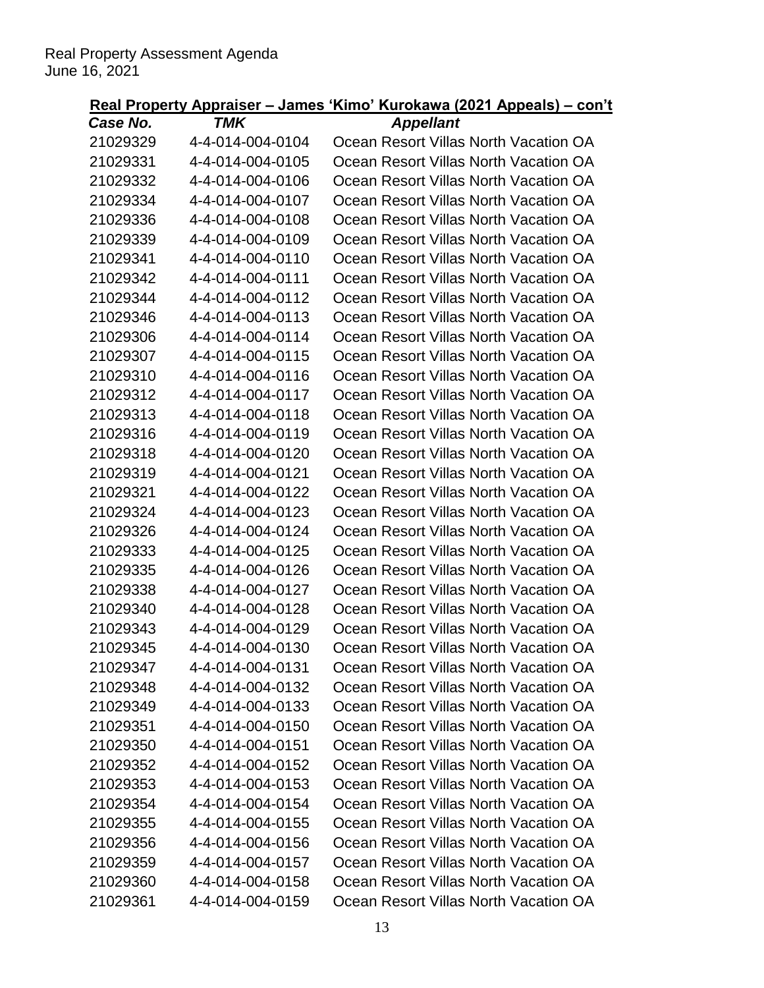| I MK             | Appellant                             |
|------------------|---------------------------------------|
| 4-4-014-004-0104 | Ocean Resort Villas North Vacation OA |
| 4-4-014-004-0105 | Ocean Resort Villas North Vacation OA |
| 4-4-014-004-0106 | Ocean Resort Villas North Vacation OA |
| 4-4-014-004-0107 | Ocean Resort Villas North Vacation OA |
| 4-4-014-004-0108 | Ocean Resort Villas North Vacation OA |
| 4-4-014-004-0109 | Ocean Resort Villas North Vacation OA |
| 4-4-014-004-0110 | Ocean Resort Villas North Vacation OA |
| 4-4-014-004-0111 | Ocean Resort Villas North Vacation OA |
| 4-4-014-004-0112 | Ocean Resort Villas North Vacation OA |
| 4-4-014-004-0113 | Ocean Resort Villas North Vacation OA |
| 4-4-014-004-0114 | Ocean Resort Villas North Vacation OA |
| 4-4-014-004-0115 | Ocean Resort Villas North Vacation OA |
| 4-4-014-004-0116 | Ocean Resort Villas North Vacation OA |
| 4-4-014-004-0117 | Ocean Resort Villas North Vacation OA |
| 4-4-014-004-0118 | Ocean Resort Villas North Vacation OA |
| 4-4-014-004-0119 | Ocean Resort Villas North Vacation OA |
| 4-4-014-004-0120 | Ocean Resort Villas North Vacation OA |
| 4-4-014-004-0121 | Ocean Resort Villas North Vacation OA |
| 4-4-014-004-0122 | Ocean Resort Villas North Vacation OA |
| 4-4-014-004-0123 | Ocean Resort Villas North Vacation OA |
| 4-4-014-004-0124 | Ocean Resort Villas North Vacation OA |
| 4-4-014-004-0125 | Ocean Resort Villas North Vacation OA |
| 4-4-014-004-0126 | Ocean Resort Villas North Vacation OA |
| 4-4-014-004-0127 | Ocean Resort Villas North Vacation OA |
| 4-4-014-004-0128 | Ocean Resort Villas North Vacation OA |
| 4-4-014-004-0129 | Ocean Resort Villas North Vacation OA |
| 4-4-014-004-0130 | Ocean Resort Villas North Vacation OA |
| 4-4-014-004-0131 | Ocean Resort Villas North Vacation OA |
| 4-4-014-004-0132 | Ocean Resort Villas North Vacation OA |
| 4-4-014-004-0133 | Ocean Resort Villas North Vacation OA |
| 4-4-014-004-0150 | Ocean Resort Villas North Vacation OA |
| 4-4-014-004-0151 | Ocean Resort Villas North Vacation OA |
| 4-4-014-004-0152 | Ocean Resort Villas North Vacation OA |
| 4-4-014-004-0153 | Ocean Resort Villas North Vacation OA |
| 4-4-014-004-0154 | Ocean Resort Villas North Vacation OA |
| 4-4-014-004-0155 | Ocean Resort Villas North Vacation OA |
| 4-4-014-004-0156 | Ocean Resort Villas North Vacation OA |
| 4-4-014-004-0157 | Ocean Resort Villas North Vacation OA |
| 4-4-014-004-0158 | Ocean Resort Villas North Vacation OA |
| 4-4-014-004-0159 | Ocean Resort Villas North Vacation OA |
|                  |                                       |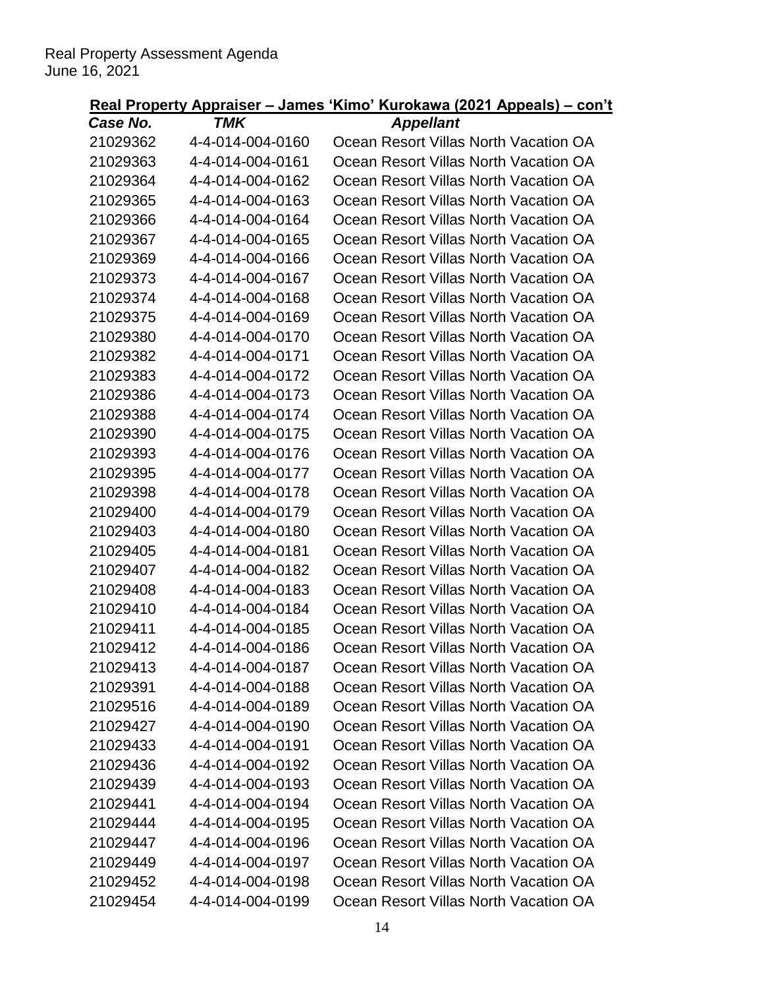| I MK             | Appellant                             |
|------------------|---------------------------------------|
| 4-4-014-004-0160 | Ocean Resort Villas North Vacation OA |
| 4-4-014-004-0161 | Ocean Resort Villas North Vacation OA |
| 4-4-014-004-0162 | Ocean Resort Villas North Vacation OA |
| 4-4-014-004-0163 | Ocean Resort Villas North Vacation OA |
| 4-4-014-004-0164 | Ocean Resort Villas North Vacation OA |
| 4-4-014-004-0165 | Ocean Resort Villas North Vacation OA |
| 4-4-014-004-0166 | Ocean Resort Villas North Vacation OA |
| 4-4-014-004-0167 | Ocean Resort Villas North Vacation OA |
| 4-4-014-004-0168 | Ocean Resort Villas North Vacation OA |
| 4-4-014-004-0169 | Ocean Resort Villas North Vacation OA |
| 4-4-014-004-0170 | Ocean Resort Villas North Vacation OA |
| 4-4-014-004-0171 | Ocean Resort Villas North Vacation OA |
| 4-4-014-004-0172 | Ocean Resort Villas North Vacation OA |
| 4-4-014-004-0173 | Ocean Resort Villas North Vacation OA |
| 4-4-014-004-0174 | Ocean Resort Villas North Vacation OA |
| 4-4-014-004-0175 | Ocean Resort Villas North Vacation OA |
| 4-4-014-004-0176 | Ocean Resort Villas North Vacation OA |
| 4-4-014-004-0177 | Ocean Resort Villas North Vacation OA |
| 4-4-014-004-0178 | Ocean Resort Villas North Vacation OA |
| 4-4-014-004-0179 | Ocean Resort Villas North Vacation OA |
| 4-4-014-004-0180 | Ocean Resort Villas North Vacation OA |
| 4-4-014-004-0181 | Ocean Resort Villas North Vacation OA |
| 4-4-014-004-0182 | Ocean Resort Villas North Vacation OA |
| 4-4-014-004-0183 | Ocean Resort Villas North Vacation OA |
| 4-4-014-004-0184 | Ocean Resort Villas North Vacation OA |
| 4-4-014-004-0185 | Ocean Resort Villas North Vacation OA |
| 4-4-014-004-0186 | Ocean Resort Villas North Vacation OA |
| 4-4-014-004-0187 | Ocean Resort Villas North Vacation OA |
| 4-4-014-004-0188 | Ocean Resort Villas North Vacation OA |
| 4-4-014-004-0189 | Ocean Resort Villas North Vacation OA |
| 4-4-014-004-0190 | Ocean Resort Villas North Vacation OA |
| 4-4-014-004-0191 | Ocean Resort Villas North Vacation OA |
| 4-4-014-004-0192 | Ocean Resort Villas North Vacation OA |
| 4-4-014-004-0193 | Ocean Resort Villas North Vacation OA |
| 4-4-014-004-0194 | Ocean Resort Villas North Vacation OA |
| 4-4-014-004-0195 | Ocean Resort Villas North Vacation OA |
| 4-4-014-004-0196 | Ocean Resort Villas North Vacation OA |
| 4-4-014-004-0197 | Ocean Resort Villas North Vacation OA |
| 4-4-014-004-0198 | Ocean Resort Villas North Vacation OA |
| 4-4-014-004-0199 | Ocean Resort Villas North Vacation OA |
|                  |                                       |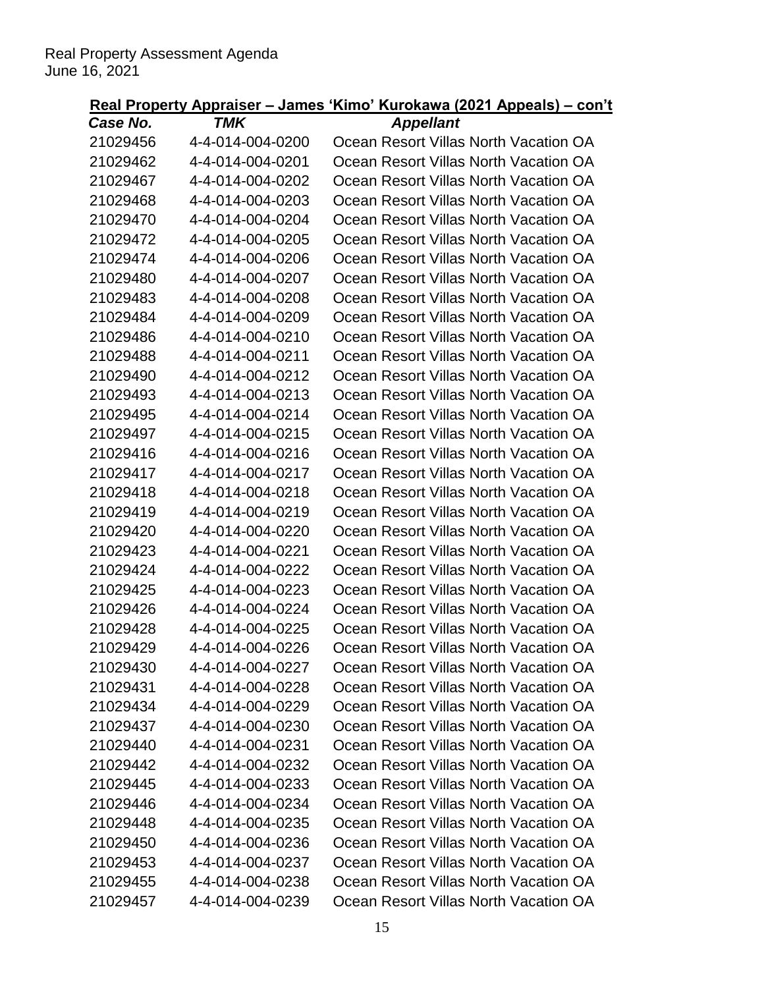| Case No. | I MK             | Appellant                             |
|----------|------------------|---------------------------------------|
| 21029456 | 4-4-014-004-0200 | Ocean Resort Villas North Vacation OA |
| 21029462 | 4-4-014-004-0201 | Ocean Resort Villas North Vacation OA |
| 21029467 | 4-4-014-004-0202 | Ocean Resort Villas North Vacation OA |
| 21029468 | 4-4-014-004-0203 | Ocean Resort Villas North Vacation OA |
| 21029470 | 4-4-014-004-0204 | Ocean Resort Villas North Vacation OA |
| 21029472 | 4-4-014-004-0205 | Ocean Resort Villas North Vacation OA |
| 21029474 | 4-4-014-004-0206 | Ocean Resort Villas North Vacation OA |
| 21029480 | 4-4-014-004-0207 | Ocean Resort Villas North Vacation OA |
| 21029483 | 4-4-014-004-0208 | Ocean Resort Villas North Vacation OA |
| 21029484 | 4-4-014-004-0209 | Ocean Resort Villas North Vacation OA |
| 21029486 | 4-4-014-004-0210 | Ocean Resort Villas North Vacation OA |
| 21029488 | 4-4-014-004-0211 | Ocean Resort Villas North Vacation OA |
| 21029490 | 4-4-014-004-0212 | Ocean Resort Villas North Vacation OA |
| 21029493 | 4-4-014-004-0213 | Ocean Resort Villas North Vacation OA |
| 21029495 | 4-4-014-004-0214 | Ocean Resort Villas North Vacation OA |
| 21029497 | 4-4-014-004-0215 | Ocean Resort Villas North Vacation OA |
| 21029416 | 4-4-014-004-0216 | Ocean Resort Villas North Vacation OA |
| 21029417 | 4-4-014-004-0217 | Ocean Resort Villas North Vacation OA |
| 21029418 | 4-4-014-004-0218 | Ocean Resort Villas North Vacation OA |
| 21029419 | 4-4-014-004-0219 | Ocean Resort Villas North Vacation OA |
| 21029420 | 4-4-014-004-0220 | Ocean Resort Villas North Vacation OA |
| 21029423 | 4-4-014-004-0221 | Ocean Resort Villas North Vacation OA |
| 21029424 | 4-4-014-004-0222 | Ocean Resort Villas North Vacation OA |
| 21029425 | 4-4-014-004-0223 | Ocean Resort Villas North Vacation OA |
| 21029426 | 4-4-014-004-0224 | Ocean Resort Villas North Vacation OA |
| 21029428 | 4-4-014-004-0225 | Ocean Resort Villas North Vacation OA |
| 21029429 | 4-4-014-004-0226 | Ocean Resort Villas North Vacation OA |
| 21029430 | 4-4-014-004-0227 | Ocean Resort Villas North Vacation OA |
| 21029431 | 4-4-014-004-0228 | Ocean Resort Villas North Vacation OA |
| 21029434 | 4-4-014-004-0229 | Ocean Resort Villas North Vacation OA |
| 21029437 | 4-4-014-004-0230 | Ocean Resort Villas North Vacation OA |
| 21029440 | 4-4-014-004-0231 | Ocean Resort Villas North Vacation OA |
| 21029442 | 4-4-014-004-0232 | Ocean Resort Villas North Vacation OA |
| 21029445 | 4-4-014-004-0233 | Ocean Resort Villas North Vacation OA |
| 21029446 | 4-4-014-004-0234 | Ocean Resort Villas North Vacation OA |
| 21029448 | 4-4-014-004-0235 | Ocean Resort Villas North Vacation OA |
| 21029450 | 4-4-014-004-0236 | Ocean Resort Villas North Vacation OA |
| 21029453 | 4-4-014-004-0237 | Ocean Resort Villas North Vacation OA |
| 21029455 | 4-4-014-004-0238 | Ocean Resort Villas North Vacation OA |
| 21029457 | 4-4-014-004-0239 | Ocean Resort Villas North Vacation OA |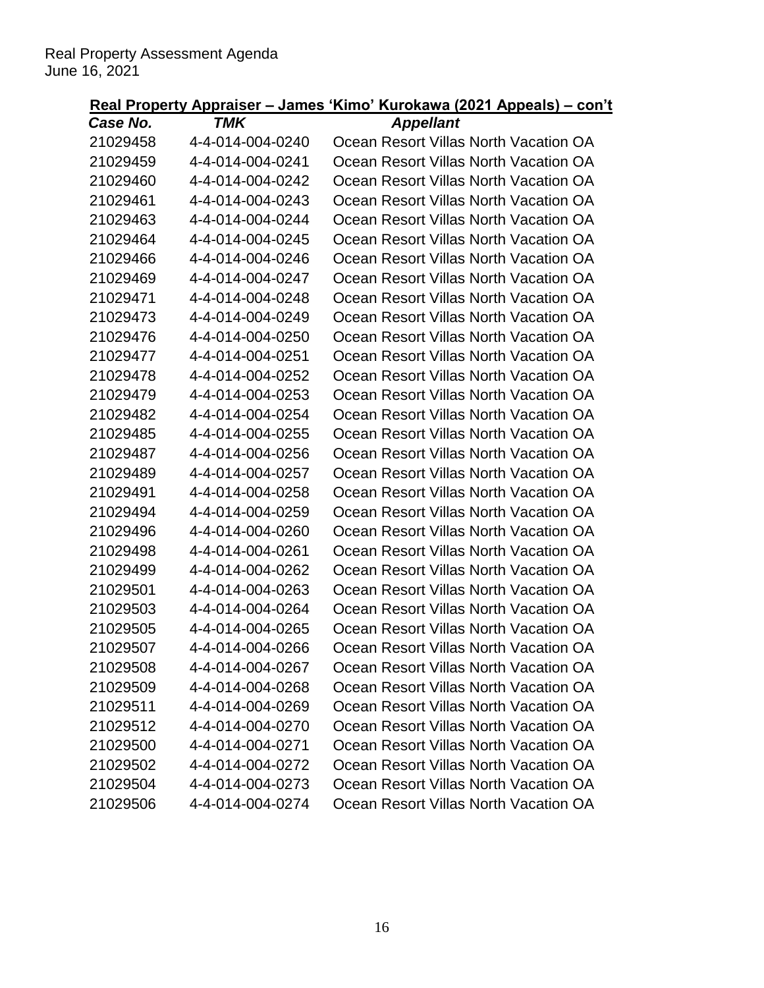| case no. | I MK             | Appellant                             |
|----------|------------------|---------------------------------------|
| 21029458 | 4-4-014-004-0240 | Ocean Resort Villas North Vacation OA |
| 21029459 | 4-4-014-004-0241 | Ocean Resort Villas North Vacation OA |
| 21029460 | 4-4-014-004-0242 | Ocean Resort Villas North Vacation OA |
| 21029461 | 4-4-014-004-0243 | Ocean Resort Villas North Vacation OA |
| 21029463 | 4-4-014-004-0244 | Ocean Resort Villas North Vacation OA |
| 21029464 | 4-4-014-004-0245 | Ocean Resort Villas North Vacation OA |
| 21029466 | 4-4-014-004-0246 | Ocean Resort Villas North Vacation OA |
| 21029469 | 4-4-014-004-0247 | Ocean Resort Villas North Vacation OA |
| 21029471 | 4-4-014-004-0248 | Ocean Resort Villas North Vacation OA |
| 21029473 | 4-4-014-004-0249 | Ocean Resort Villas North Vacation OA |
| 21029476 | 4-4-014-004-0250 | Ocean Resort Villas North Vacation OA |
| 21029477 | 4-4-014-004-0251 | Ocean Resort Villas North Vacation OA |
| 21029478 | 4-4-014-004-0252 | Ocean Resort Villas North Vacation OA |
| 21029479 | 4-4-014-004-0253 | Ocean Resort Villas North Vacation OA |
| 21029482 | 4-4-014-004-0254 | Ocean Resort Villas North Vacation OA |
| 21029485 | 4-4-014-004-0255 | Ocean Resort Villas North Vacation OA |
| 21029487 | 4-4-014-004-0256 | Ocean Resort Villas North Vacation OA |
| 21029489 | 4-4-014-004-0257 | Ocean Resort Villas North Vacation OA |
| 21029491 | 4-4-014-004-0258 | Ocean Resort Villas North Vacation OA |
| 21029494 | 4-4-014-004-0259 | Ocean Resort Villas North Vacation OA |
| 21029496 | 4-4-014-004-0260 | Ocean Resort Villas North Vacation OA |
| 21029498 | 4-4-014-004-0261 | Ocean Resort Villas North Vacation OA |
| 21029499 | 4-4-014-004-0262 | Ocean Resort Villas North Vacation OA |
| 21029501 | 4-4-014-004-0263 | Ocean Resort Villas North Vacation OA |
| 21029503 | 4-4-014-004-0264 | Ocean Resort Villas North Vacation OA |
| 21029505 | 4-4-014-004-0265 | Ocean Resort Villas North Vacation OA |
| 21029507 | 4-4-014-004-0266 | Ocean Resort Villas North Vacation OA |
| 21029508 | 4-4-014-004-0267 | Ocean Resort Villas North Vacation OA |
| 21029509 | 4-4-014-004-0268 | Ocean Resort Villas North Vacation OA |
| 21029511 | 4-4-014-004-0269 | Ocean Resort Villas North Vacation OA |
| 21029512 | 4-4-014-004-0270 | Ocean Resort Villas North Vacation OA |
| 21029500 | 4-4-014-004-0271 | Ocean Resort Villas North Vacation OA |
| 21029502 | 4-4-014-004-0272 | Ocean Resort Villas North Vacation OA |
| 21029504 | 4-4-014-004-0273 | Ocean Resort Villas North Vacation OA |
| 21029506 | 4-4-014-004-0274 | Ocean Resort Villas North Vacation OA |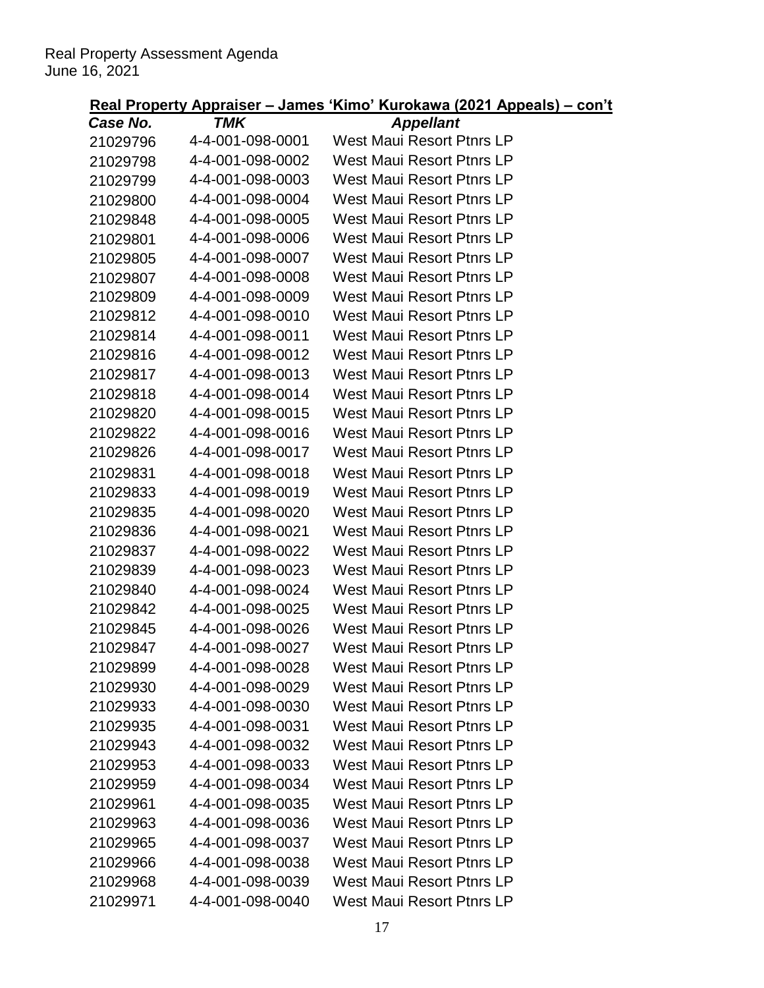| Case No. | <b>TMK</b>       | <b>Appellant</b>                 |
|----------|------------------|----------------------------------|
| 21029796 | 4-4-001-098-0001 | <b>West Maui Resort Ptnrs LP</b> |
| 21029798 | 4-4-001-098-0002 | <b>West Maui Resort Ptnrs LP</b> |
| 21029799 | 4-4-001-098-0003 | West Maui Resort Ptnrs LP        |
| 21029800 | 4-4-001-098-0004 | West Maui Resort Ptnrs LP        |
| 21029848 | 4-4-001-098-0005 | West Maui Resort Ptnrs LP        |
| 21029801 | 4-4-001-098-0006 | West Maui Resort Ptnrs LP        |
| 21029805 | 4-4-001-098-0007 | West Maui Resort Ptnrs LP        |
| 21029807 | 4-4-001-098-0008 | West Maui Resort Ptnrs LP        |
| 21029809 | 4-4-001-098-0009 | West Maui Resort Ptnrs LP        |
| 21029812 | 4-4-001-098-0010 | West Maui Resort Ptnrs LP        |
| 21029814 | 4-4-001-098-0011 | West Maui Resort Ptnrs LP        |
| 21029816 | 4-4-001-098-0012 | <b>West Maui Resort Ptnrs LP</b> |
| 21029817 | 4-4-001-098-0013 | West Maui Resort Ptnrs LP        |
| 21029818 | 4-4-001-098-0014 | West Maui Resort Ptnrs LP        |
| 21029820 | 4-4-001-098-0015 | West Maui Resort Ptnrs LP        |
| 21029822 | 4-4-001-098-0016 | West Maui Resort Ptnrs LP        |
| 21029826 | 4-4-001-098-0017 | West Maui Resort Ptnrs LP        |
| 21029831 | 4-4-001-098-0018 | <b>West Maui Resort Ptnrs LP</b> |
| 21029833 | 4-4-001-098-0019 | West Maui Resort Ptnrs LP        |
| 21029835 | 4-4-001-098-0020 | West Maui Resort Ptnrs LP        |
| 21029836 | 4-4-001-098-0021 | West Maui Resort Ptnrs LP        |
| 21029837 | 4-4-001-098-0022 | West Maui Resort Ptnrs LP        |
| 21029839 | 4-4-001-098-0023 | West Maui Resort Ptnrs LP        |
| 21029840 | 4-4-001-098-0024 | West Maui Resort Ptnrs LP        |
| 21029842 | 4-4-001-098-0025 | <b>West Maui Resort Ptnrs LP</b> |
| 21029845 | 4-4-001-098-0026 | <b>West Maui Resort Ptnrs LP</b> |
| 21029847 | 4-4-001-098-0027 | West Maui Resort Ptnrs LP        |
| 21029899 | 4-4-001-098-0028 | <b>West Maui Resort Ptnrs LP</b> |
| 21029930 | 4-4-001-098-0029 | West Maui Resort Ptnrs LP        |
| 21029933 | 4-4-001-098-0030 | <b>West Maui Resort Ptnrs LP</b> |
| 21029935 | 4-4-001-098-0031 | <b>West Maui Resort Ptnrs LP</b> |
| 21029943 | 4-4-001-098-0032 | West Maui Resort Ptnrs LP        |
| 21029953 | 4-4-001-098-0033 | <b>West Maui Resort Ptnrs LP</b> |
| 21029959 | 4-4-001-098-0034 | West Maui Resort Ptnrs LP        |
| 21029961 | 4-4-001-098-0035 | West Maui Resort Ptnrs LP        |
| 21029963 | 4-4-001-098-0036 | <b>West Maui Resort Ptnrs LP</b> |
| 21029965 | 4-4-001-098-0037 | <b>West Maui Resort Ptnrs LP</b> |
| 21029966 | 4-4-001-098-0038 | <b>West Maui Resort Ptnrs LP</b> |
| 21029968 | 4-4-001-098-0039 | <b>West Maui Resort Ptnrs LP</b> |
| 21029971 | 4-4-001-098-0040 | West Maui Resort Ptnrs LP        |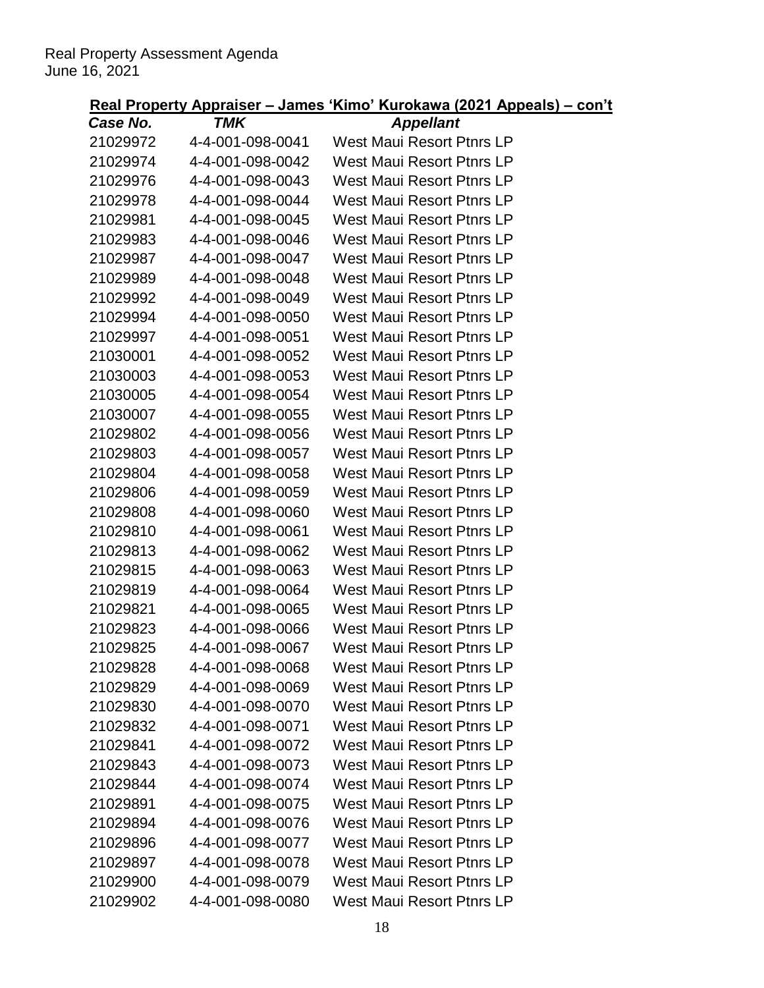| Case No. | $-$ - $-$ - $-$<br>TMK | <b>Appellant</b>                 |
|----------|------------------------|----------------------------------|
| 21029972 | 4-4-001-098-0041       | <b>West Maui Resort Ptnrs LP</b> |
| 21029974 | 4-4-001-098-0042       | <b>West Maui Resort Ptnrs LP</b> |
| 21029976 | 4-4-001-098-0043       | <b>West Maui Resort Ptnrs LP</b> |
| 21029978 | 4-4-001-098-0044       | West Maui Resort Ptnrs LP        |
| 21029981 | 4-4-001-098-0045       | <b>West Maui Resort Ptnrs LP</b> |
| 21029983 | 4-4-001-098-0046       | West Maui Resort Ptnrs LP        |
| 21029987 | 4-4-001-098-0047       | West Maui Resort Ptnrs LP        |
| 21029989 | 4-4-001-098-0048       | <b>West Maui Resort Ptnrs LP</b> |
| 21029992 | 4-4-001-098-0049       | West Maui Resort Ptnrs LP        |
| 21029994 | 4-4-001-098-0050       | <b>West Maui Resort Ptnrs LP</b> |
| 21029997 | 4-4-001-098-0051       | <b>West Maui Resort Ptnrs LP</b> |
| 21030001 | 4-4-001-098-0052       | West Maui Resort Ptnrs LP        |
| 21030003 | 4-4-001-098-0053       | <b>West Maui Resort Ptnrs LP</b> |
| 21030005 | 4-4-001-098-0054       | West Maui Resort Ptnrs LP        |
| 21030007 | 4-4-001-098-0055       | <b>West Maui Resort Ptnrs LP</b> |
| 21029802 | 4-4-001-098-0056       | West Maui Resort Ptnrs LP        |
| 21029803 | 4-4-001-098-0057       | West Maui Resort Ptnrs LP        |
| 21029804 | 4-4-001-098-0058       | <b>West Maui Resort Ptnrs LP</b> |
| 21029806 | 4-4-001-098-0059       | West Maui Resort Ptnrs LP        |
| 21029808 | 4-4-001-098-0060       | <b>West Maui Resort Ptnrs LP</b> |
| 21029810 | 4-4-001-098-0061       | <b>West Maui Resort Ptnrs LP</b> |
| 21029813 | 4-4-001-098-0062       | West Maui Resort Ptnrs LP        |
| 21029815 | 4-4-001-098-0063       | <b>West Maui Resort Ptnrs LP</b> |
| 21029819 | 4-4-001-098-0064       | <b>West Maui Resort Ptnrs LP</b> |
| 21029821 | 4-4-001-098-0065       | <b>West Maui Resort Ptnrs LP</b> |
| 21029823 | 4-4-001-098-0066       | <b>West Maui Resort Ptnrs LP</b> |
| 21029825 | 4-4-001-098-0067       | <b>West Maui Resort Ptnrs LP</b> |
| 21029828 | 4-4-001-098-0068       | West Maui Resort Ptnrs I P       |
| 21029829 | 4-4-001-098-0069       | <b>West Maui Resort Ptnrs LP</b> |
| 21029830 | 4-4-001-098-0070       | <b>West Maui Resort Ptnrs LP</b> |
| 21029832 | 4-4-001-098-0071       | <b>West Maui Resort Ptnrs LP</b> |
| 21029841 | 4-4-001-098-0072       | <b>West Maui Resort Ptnrs LP</b> |
| 21029843 | 4-4-001-098-0073       | <b>West Maui Resort Ptnrs LP</b> |
| 21029844 | 4-4-001-098-0074       | West Maui Resort Ptnrs LP        |
| 21029891 | 4-4-001-098-0075       | West Maui Resort Ptnrs LP        |
| 21029894 | 4-4-001-098-0076       | <b>West Maui Resort Ptnrs LP</b> |
| 21029896 | 4-4-001-098-0077       | <b>West Maui Resort Ptnrs LP</b> |
| 21029897 | 4-4-001-098-0078       | <b>West Maui Resort Ptnrs LP</b> |
| 21029900 | 4-4-001-098-0079       | <b>West Maui Resort Ptnrs LP</b> |
| 21029902 | 4-4-001-098-0080       | <b>West Maui Resort Ptnrs LP</b> |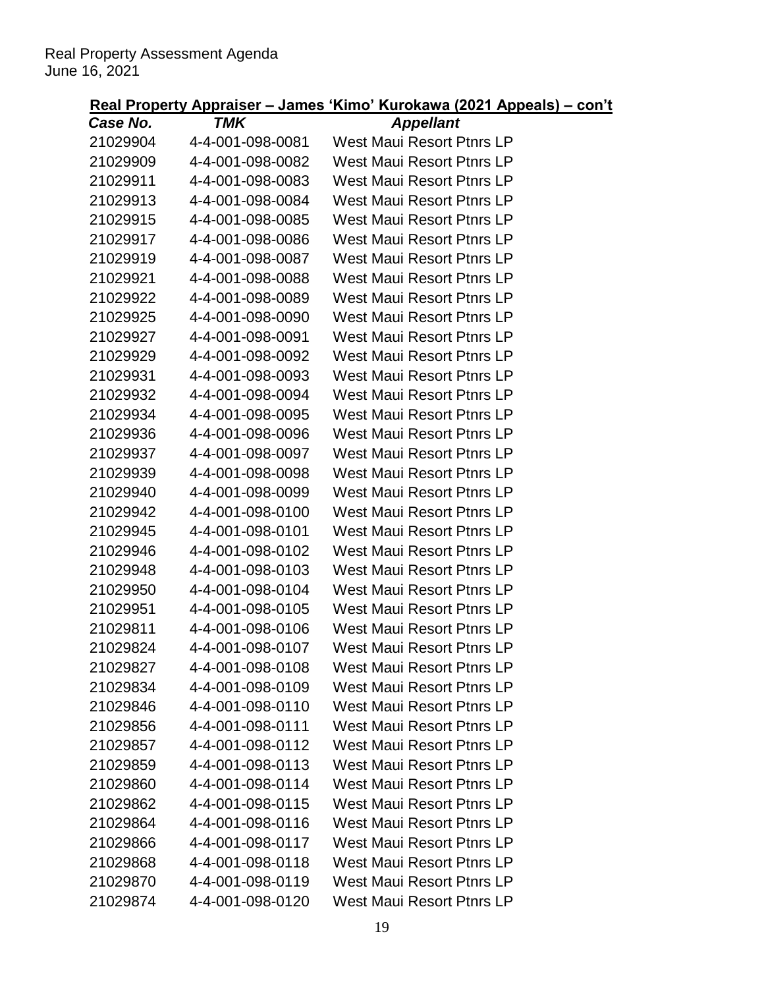| Case No. | $-$ - $-$ - $-$<br>TMK | <b>Appellant</b>                 |
|----------|------------------------|----------------------------------|
| 21029904 | 4-4-001-098-0081       | <b>West Maui Resort Ptnrs LP</b> |
| 21029909 | 4-4-001-098-0082       | West Maui Resort Ptnrs LP        |
| 21029911 | 4-4-001-098-0083       | <b>West Maui Resort Ptnrs LP</b> |
| 21029913 | 4-4-001-098-0084       | <b>West Maui Resort Ptnrs LP</b> |
| 21029915 | 4-4-001-098-0085       | <b>West Maui Resort Ptnrs LP</b> |
| 21029917 | 4-4-001-098-0086       | West Maui Resort Ptnrs LP        |
| 21029919 | 4-4-001-098-0087       | <b>West Maui Resort Ptnrs LP</b> |
| 21029921 | 4-4-001-098-0088       | West Maui Resort Ptnrs LP        |
| 21029922 | 4-4-001-098-0089       | West Maui Resort Ptnrs LP        |
| 21029925 | 4-4-001-098-0090       | <b>West Maui Resort Ptnrs LP</b> |
| 21029927 | 4-4-001-098-0091       | <b>West Maui Resort Ptnrs LP</b> |
| 21029929 | 4-4-001-098-0092       | West Maui Resort Ptnrs LP        |
| 21029931 | 4-4-001-098-0093       | West Maui Resort Ptnrs LP        |
| 21029932 | 4-4-001-098-0094       | <b>West Maui Resort Ptnrs LP</b> |
| 21029934 | 4-4-001-098-0095       | <b>West Maui Resort Ptnrs LP</b> |
| 21029936 | 4-4-001-098-0096       | West Maui Resort Ptnrs LP        |
| 21029937 | 4-4-001-098-0097       | <b>West Maui Resort Ptnrs LP</b> |
| 21029939 | 4-4-001-098-0098       | <b>West Maui Resort Ptnrs LP</b> |
| 21029940 | 4-4-001-098-0099       | West Maui Resort Ptnrs LP        |
| 21029942 | 4-4-001-098-0100       | <b>West Maui Resort Ptnrs LP</b> |
| 21029945 | 4-4-001-098-0101       | <b>West Maui Resort Ptnrs LP</b> |
| 21029946 | 4-4-001-098-0102       | <b>West Maui Resort Ptnrs LP</b> |
| 21029948 | 4-4-001-098-0103       | <b>West Maui Resort Ptnrs LP</b> |
| 21029950 | 4-4-001-098-0104       | <b>West Maui Resort Ptnrs LP</b> |
| 21029951 | 4-4-001-098-0105       | <b>West Maui Resort Ptnrs LP</b> |
| 21029811 | 4-4-001-098-0106       | <b>West Maui Resort Ptnrs LP</b> |
| 21029824 | 4-4-001-098-0107       | <b>West Maui Resort Ptnrs LP</b> |
| 21029827 | 4-4-001-098-0108       | West Maui Resort Ptnrs LP        |
| 21029834 | 4-4-001-098-0109       | <b>West Maui Resort Ptnrs LP</b> |
| 21029846 | 4-4-001-098-0110       | <b>West Maui Resort Ptnrs LP</b> |
| 21029856 | 4-4-001-098-0111       | West Maui Resort Ptnrs LP        |
| 21029857 | 4-4-001-098-0112       | <b>West Maui Resort Ptnrs LP</b> |
| 21029859 | 4-4-001-098-0113       | <b>West Maui Resort Ptnrs LP</b> |
| 21029860 | 4-4-001-098-0114       | West Maui Resort Ptnrs LP        |
| 21029862 | 4-4-001-098-0115       | West Maui Resort Ptnrs LP        |
| 21029864 | 4-4-001-098-0116       | <b>West Maui Resort Ptnrs LP</b> |
| 21029866 | 4-4-001-098-0117       | <b>West Maui Resort Ptnrs LP</b> |
| 21029868 | 4-4-001-098-0118       | <b>West Maui Resort Ptnrs LP</b> |
| 21029870 | 4-4-001-098-0119       | <b>West Maui Resort Ptnrs LP</b> |
| 21029874 | 4-4-001-098-0120       | <b>West Maui Resort Ptnrs LP</b> |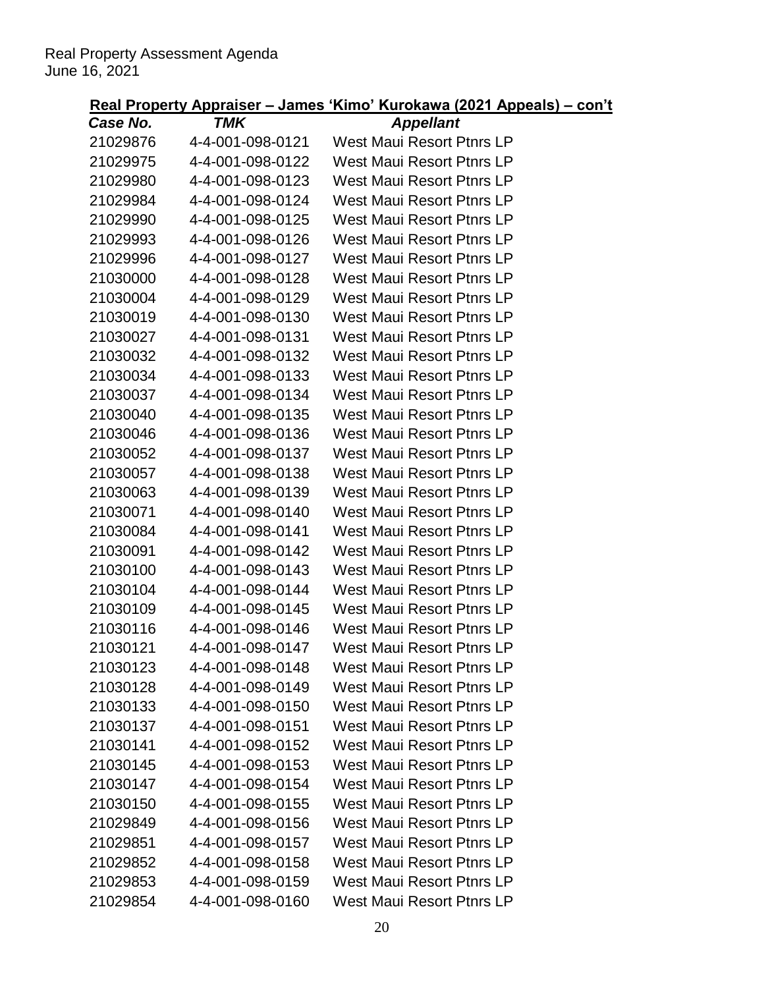| Case No. | TMK              | <b>Appellant</b>                 |
|----------|------------------|----------------------------------|
| 21029876 | 4-4-001-098-0121 | <b>West Maui Resort Ptnrs LP</b> |
| 21029975 | 4-4-001-098-0122 | West Maui Resort Ptnrs LP        |
| 21029980 | 4-4-001-098-0123 | West Maui Resort Ptnrs LP        |
| 21029984 | 4-4-001-098-0124 | West Maui Resort Ptnrs LP        |
| 21029990 | 4-4-001-098-0125 | <b>West Maui Resort Ptnrs LP</b> |
| 21029993 | 4-4-001-098-0126 | West Maui Resort Ptnrs LP        |
| 21029996 | 4-4-001-098-0127 | West Maui Resort Ptnrs LP        |
| 21030000 | 4-4-001-098-0128 | <b>West Maui Resort Ptnrs LP</b> |
| 21030004 | 4-4-001-098-0129 | West Maui Resort Ptnrs LP        |
| 21030019 | 4-4-001-098-0130 | <b>West Maui Resort Ptnrs LP</b> |
| 21030027 | 4-4-001-098-0131 | West Maui Resort Ptnrs LP        |
| 21030032 | 4-4-001-098-0132 | West Maui Resort Ptnrs LP        |
| 21030034 | 4-4-001-098-0133 | West Maui Resort Ptnrs LP        |
| 21030037 | 4-4-001-098-0134 | West Maui Resort Ptnrs LP        |
| 21030040 | 4-4-001-098-0135 | <b>West Maui Resort Ptnrs LP</b> |
| 21030046 | 4-4-001-098-0136 | West Maui Resort Ptnrs LP        |
| 21030052 | 4-4-001-098-0137 | West Maui Resort Ptnrs LP        |
| 21030057 | 4-4-001-098-0138 | <b>West Maui Resort Ptnrs LP</b> |
| 21030063 | 4-4-001-098-0139 | West Maui Resort Ptnrs LP        |
| 21030071 | 4-4-001-098-0140 | <b>West Maui Resort Ptnrs LP</b> |
| 21030084 | 4-4-001-098-0141 | West Maui Resort Ptnrs LP        |
| 21030091 | 4-4-001-098-0142 | West Maui Resort Ptnrs LP        |
| 21030100 | 4-4-001-098-0143 | West Maui Resort Ptnrs LP        |
| 21030104 | 4-4-001-098-0144 | West Maui Resort Ptnrs LP        |
| 21030109 | 4-4-001-098-0145 | <b>West Maui Resort Ptnrs LP</b> |
| 21030116 | 4-4-001-098-0146 | West Maui Resort Ptnrs LP        |
| 21030121 | 4-4-001-098-0147 | <b>West Maui Resort Ptnrs LP</b> |
| 21030123 | 4-4-001-098-0148 | <b>West Maui Resort Ptnrs LP</b> |
| 21030128 | 4-4-001-098-0149 | West Maui Resort Ptnrs LP        |
| 21030133 | 4-4-001-098-0150 | <b>West Maui Resort Ptnrs LP</b> |
| 21030137 | 4-4-001-098-0151 | <b>West Maui Resort Ptnrs LP</b> |
| 21030141 | 4-4-001-098-0152 | <b>West Maui Resort Ptnrs LP</b> |
| 21030145 | 4-4-001-098-0153 | <b>West Maui Resort Ptnrs LP</b> |
| 21030147 | 4-4-001-098-0154 | <b>West Maui Resort Ptnrs LP</b> |
| 21030150 | 4-4-001-098-0155 | <b>West Maui Resort Ptnrs LP</b> |
| 21029849 | 4-4-001-098-0156 | <b>West Maui Resort Ptnrs LP</b> |
| 21029851 | 4-4-001-098-0157 | <b>West Maui Resort Ptnrs LP</b> |
| 21029852 | 4-4-001-098-0158 | <b>West Maui Resort Ptnrs LP</b> |
| 21029853 | 4-4-001-098-0159 | <b>West Maui Resort Ptnrs LP</b> |
| 21029854 | 4-4-001-098-0160 | West Maui Resort Ptnrs LP        |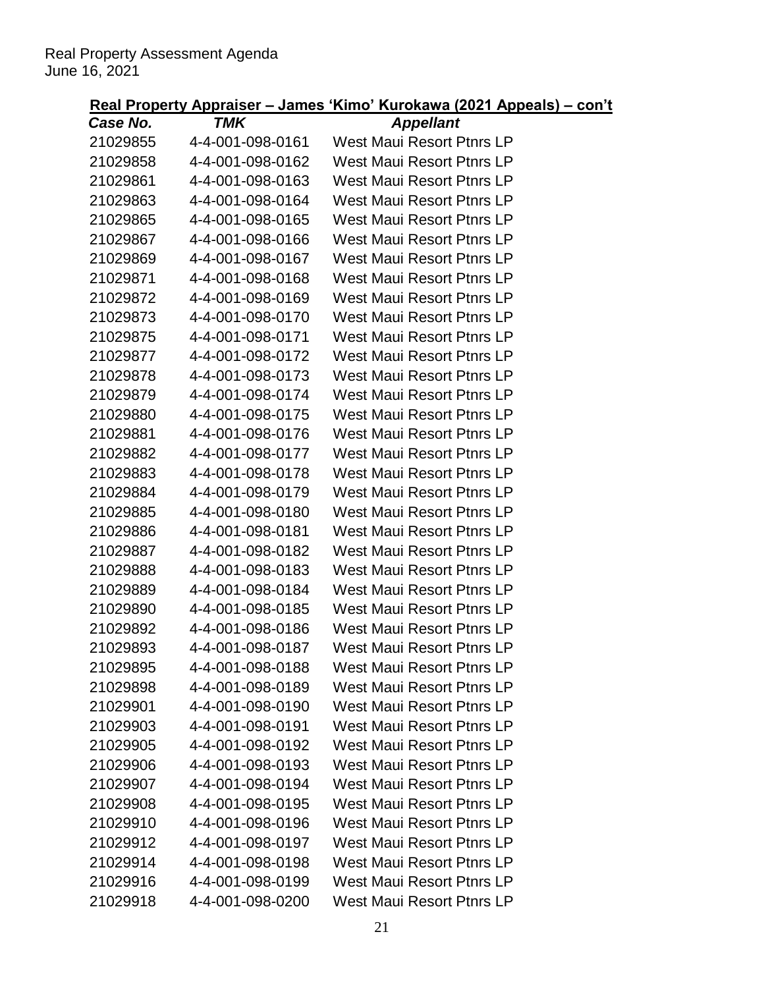| Case No. | TMK              | <b>Appellant</b>                 |
|----------|------------------|----------------------------------|
| 21029855 | 4-4-001-098-0161 | <b>West Maui Resort Ptnrs LP</b> |
| 21029858 | 4-4-001-098-0162 | <b>West Maui Resort Ptnrs LP</b> |
| 21029861 | 4-4-001-098-0163 | West Maui Resort Ptnrs LP        |
| 21029863 | 4-4-001-098-0164 | <b>West Maui Resort Ptnrs LP</b> |
| 21029865 | 4-4-001-098-0165 | <b>West Maui Resort Ptnrs LP</b> |
| 21029867 | 4-4-001-098-0166 | West Maui Resort Ptnrs LP        |
| 21029869 | 4-4-001-098-0167 | <b>West Maui Resort Ptnrs LP</b> |
| 21029871 | 4-4-001-098-0168 | West Maui Resort Ptnrs LP        |
| 21029872 | 4-4-001-098-0169 | West Maui Resort Ptnrs LP        |
| 21029873 | 4-4-001-098-0170 | <b>West Maui Resort Ptnrs LP</b> |
| 21029875 | 4-4-001-098-0171 | West Maui Resort Ptnrs LP        |
| 21029877 | 4-4-001-098-0172 | West Maui Resort Ptnrs LP        |
| 21029878 | 4-4-001-098-0173 | West Maui Resort Ptnrs LP        |
| 21029879 | 4-4-001-098-0174 | <b>West Maui Resort Ptnrs LP</b> |
| 21029880 | 4-4-001-098-0175 | <b>West Maui Resort Ptnrs LP</b> |
| 21029881 | 4-4-001-098-0176 | West Maui Resort Ptnrs LP        |
| 21029882 | 4-4-001-098-0177 | <b>West Maui Resort Ptnrs LP</b> |
| 21029883 | 4-4-001-098-0178 | <b>West Maui Resort Ptnrs LP</b> |
| 21029884 | 4-4-001-098-0179 | West Maui Resort Ptnrs LP        |
| 21029885 | 4-4-001-098-0180 | <b>West Maui Resort Ptnrs LP</b> |
| 21029886 | 4-4-001-098-0181 | <b>West Maui Resort Ptnrs LP</b> |
| 21029887 | 4-4-001-098-0182 | West Maui Resort Ptnrs LP        |
| 21029888 | 4-4-001-098-0183 | West Maui Resort Ptnrs LP        |
| 21029889 | 4-4-001-098-0184 | <b>West Maui Resort Ptnrs LP</b> |
| 21029890 | 4-4-001-098-0185 | <b>West Maui Resort Ptnrs LP</b> |
| 21029892 | 4-4-001-098-0186 | West Maui Resort Ptnrs LP        |
| 21029893 | 4-4-001-098-0187 | West Maui Resort Ptnrs LP        |
| 21029895 | 4-4-001-098-0188 | West Maui Resort Ptnrs LP        |
| 21029898 | 4-4-001-098-0189 | <b>West Maui Resort Ptnrs LP</b> |
| 21029901 | 4-4-001-098-0190 | <b>West Maui Resort Ptnrs LP</b> |
| 21029903 | 4-4-001-098-0191 | West Maui Resort Ptnrs LP        |
| 21029905 | 4-4-001-098-0192 | <b>West Maui Resort Ptnrs LP</b> |
| 21029906 | 4-4-001-098-0193 | <b>West Maui Resort Ptnrs LP</b> |
| 21029907 | 4-4-001-098-0194 | <b>West Maui Resort Ptnrs LP</b> |
| 21029908 | 4-4-001-098-0195 | West Maui Resort Ptnrs LP        |
| 21029910 | 4-4-001-098-0196 | <b>West Maui Resort Ptnrs LP</b> |
| 21029912 | 4-4-001-098-0197 | <b>West Maui Resort Ptnrs LP</b> |
| 21029914 | 4-4-001-098-0198 | <b>West Maui Resort Ptnrs LP</b> |
| 21029916 | 4-4-001-098-0199 | <b>West Maui Resort Ptnrs LP</b> |
| 21029918 | 4-4-001-098-0200 | <b>West Maui Resort Ptnrs LP</b> |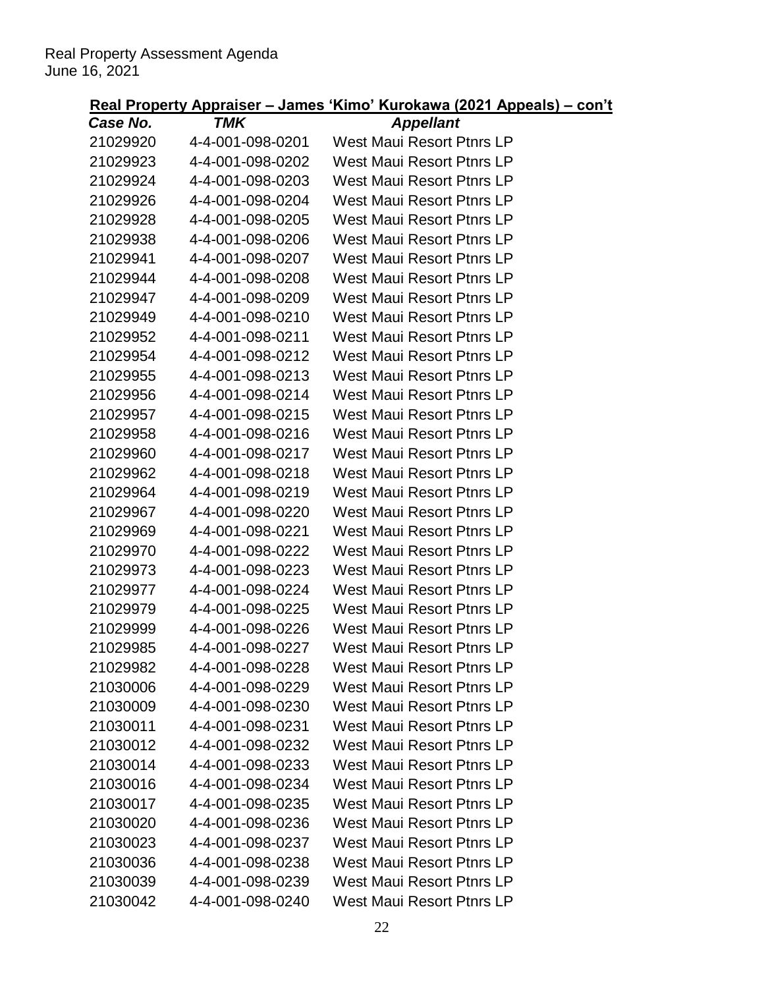| Case No. | $\overline{\phantom{a}}$<br>TMK | <b>Appellant</b>                 |
|----------|---------------------------------|----------------------------------|
| 21029920 | 4-4-001-098-0201                | <b>West Maui Resort Ptnrs LP</b> |
| 21029923 | 4-4-001-098-0202                | West Maui Resort Ptnrs LP        |
| 21029924 | 4-4-001-098-0203                | <b>West Maui Resort Ptnrs LP</b> |
| 21029926 | 4-4-001-098-0204                | <b>West Maui Resort Ptnrs LP</b> |
| 21029928 | 4-4-001-098-0205                | <b>West Maui Resort Ptnrs LP</b> |
| 21029938 | 4-4-001-098-0206                | West Maui Resort Ptnrs LP        |
| 21029941 | 4-4-001-098-0207                | <b>West Maui Resort Ptnrs LP</b> |
| 21029944 | 4-4-001-098-0208                | <b>West Maui Resort Ptnrs LP</b> |
| 21029947 | 4-4-001-098-0209                | West Maui Resort Ptnrs LP        |
| 21029949 | 4-4-001-098-0210                | <b>West Maui Resort Ptnrs LP</b> |
| 21029952 | 4-4-001-098-0211                | <b>West Maui Resort Ptnrs LP</b> |
| 21029954 | 4-4-001-098-0212                | West Maui Resort Ptnrs LP        |
| 21029955 | 4-4-001-098-0213                | <b>West Maui Resort Ptnrs LP</b> |
| 21029956 | 4-4-001-098-0214                | <b>West Maui Resort Ptnrs LP</b> |
| 21029957 | 4-4-001-098-0215                | <b>West Maui Resort Ptnrs LP</b> |
| 21029958 | 4-4-001-098-0216                | West Maui Resort Ptnrs LP        |
| 21029960 | 4-4-001-098-0217                | <b>West Maui Resort Ptnrs LP</b> |
| 21029962 | 4-4-001-098-0218                | <b>West Maui Resort Ptnrs LP</b> |
| 21029964 | 4-4-001-098-0219                | West Maui Resort Ptnrs LP        |
| 21029967 | 4-4-001-098-0220                | <b>West Maui Resort Ptnrs LP</b> |
| 21029969 | 4-4-001-098-0221                | <b>West Maui Resort Ptnrs LP</b> |
| 21029970 | 4-4-001-098-0222                | <b>West Maui Resort Ptnrs LP</b> |
| 21029973 | 4-4-001-098-0223                | <b>West Maui Resort Ptnrs LP</b> |
| 21029977 | 4-4-001-098-0224                | <b>West Maui Resort Ptnrs LP</b> |
| 21029979 | 4-4-001-098-0225                | <b>West Maui Resort Ptnrs LP</b> |
| 21029999 | 4-4-001-098-0226                | West Maui Resort Ptnrs LP        |
| 21029985 | 4-4-001-098-0227                | <b>West Maui Resort Ptnrs LP</b> |
| 21029982 | 4-4-001-098-0228                | West Maui Resort Ptnrs LP        |
| 21030006 | 4-4-001-098-0229                | <b>West Maui Resort Ptnrs LP</b> |
| 21030009 | 4-4-001-098-0230                | <b>West Maui Resort Ptnrs LP</b> |
| 21030011 | 4-4-001-098-0231                | West Maui Resort Ptnrs LP        |
| 21030012 | 4-4-001-098-0232                | <b>West Maui Resort Ptnrs LP</b> |
| 21030014 | 4-4-001-098-0233                | <b>West Maui Resort Ptnrs LP</b> |
| 21030016 | 4-4-001-098-0234                | West Maui Resort Ptnrs LP        |
| 21030017 | 4-4-001-098-0235                | West Maui Resort Ptnrs LP        |
| 21030020 | 4-4-001-098-0236                | <b>West Maui Resort Ptnrs LP</b> |
| 21030023 | 4-4-001-098-0237                | <b>West Maui Resort Ptnrs LP</b> |
| 21030036 | 4-4-001-098-0238                | <b>West Maui Resort Ptnrs LP</b> |
| 21030039 | 4-4-001-098-0239                | <b>West Maui Resort Ptnrs LP</b> |
| 21030042 | 4-4-001-098-0240                | <b>West Maui Resort Ptnrs LP</b> |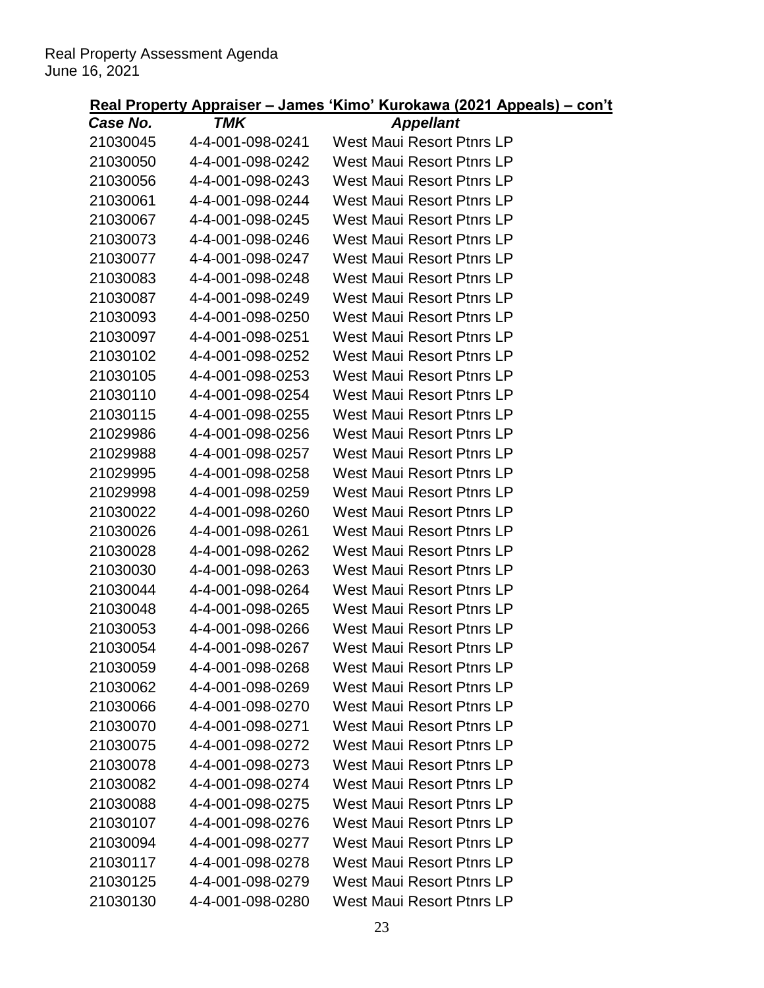| Case No. | TMK              | <b>Appellant</b>                 |
|----------|------------------|----------------------------------|
| 21030045 | 4-4-001-098-0241 | West Maui Resort Ptnrs LP        |
| 21030050 | 4-4-001-098-0242 | West Maui Resort Ptnrs LP        |
| 21030056 | 4-4-001-098-0243 | West Maui Resort Ptnrs LP        |
| 21030061 | 4-4-001-098-0244 | West Maui Resort Ptnrs LP        |
| 21030067 | 4-4-001-098-0245 | <b>West Maui Resort Ptnrs LP</b> |
| 21030073 | 4-4-001-098-0246 | West Maui Resort Ptnrs LP        |
| 21030077 | 4-4-001-098-0247 | West Maui Resort Ptnrs LP        |
| 21030083 | 4-4-001-098-0248 | West Maui Resort Ptnrs LP        |
| 21030087 | 4-4-001-098-0249 | West Maui Resort Ptnrs LP        |
| 21030093 | 4-4-001-098-0250 | <b>West Maui Resort Ptnrs LP</b> |
| 21030097 | 4-4-001-098-0251 | West Maui Resort Ptnrs LP        |
| 21030102 | 4-4-001-098-0252 | West Maui Resort Ptnrs LP        |
| 21030105 | 4-4-001-098-0253 | West Maui Resort Ptnrs LP        |
| 21030110 | 4-4-001-098-0254 | West Maui Resort Ptnrs LP        |
| 21030115 | 4-4-001-098-0255 | <b>West Maui Resort Ptnrs LP</b> |
| 21029986 | 4-4-001-098-0256 | West Maui Resort Ptnrs LP        |
| 21029988 | 4-4-001-098-0257 | West Maui Resort Ptnrs LP        |
| 21029995 | 4-4-001-098-0258 | West Maui Resort Ptnrs LP        |
| 21029998 | 4-4-001-098-0259 | West Maui Resort Ptnrs LP        |
| 21030022 | 4-4-001-098-0260 | West Maui Resort Ptnrs LP        |
| 21030026 | 4-4-001-098-0261 | West Maui Resort Ptnrs LP        |
| 21030028 | 4-4-001-098-0262 | West Maui Resort Ptnrs LP        |
| 21030030 | 4-4-001-098-0263 | West Maui Resort Ptnrs LP        |
| 21030044 | 4-4-001-098-0264 | West Maui Resort Ptnrs LP        |
| 21030048 | 4-4-001-098-0265 | <b>West Maui Resort Ptnrs LP</b> |
| 21030053 | 4-4-001-098-0266 | West Maui Resort Ptnrs LP        |
| 21030054 | 4-4-001-098-0267 | West Maui Resort Ptnrs LP        |
| 21030059 | 4-4-001-098-0268 | <b>West Maui Resort Ptnrs LP</b> |
| 21030062 | 4-4-001-098-0269 | West Maui Resort Ptnrs LP        |
| 21030066 | 4-4-001-098-0270 | <b>West Maui Resort Ptnrs LP</b> |
| 21030070 | 4-4-001-098-0271 | <b>West Maui Resort Ptnrs LP</b> |
| 21030075 | 4-4-001-098-0272 | West Maui Resort Ptnrs LP        |
| 21030078 | 4-4-001-098-0273 | <b>West Maui Resort Ptnrs LP</b> |
| 21030082 | 4-4-001-098-0274 | West Maui Resort Ptnrs LP        |
| 21030088 | 4-4-001-098-0275 | West Maui Resort Ptnrs LP        |
| 21030107 | 4-4-001-098-0276 | <b>West Maui Resort Ptnrs LP</b> |
| 21030094 | 4-4-001-098-0277 | <b>West Maui Resort Ptnrs LP</b> |
| 21030117 | 4-4-001-098-0278 | <b>West Maui Resort Ptnrs LP</b> |
| 21030125 | 4-4-001-098-0279 | <b>West Maui Resort Ptnrs LP</b> |
| 21030130 | 4-4-001-098-0280 | West Maui Resort Ptnrs LP        |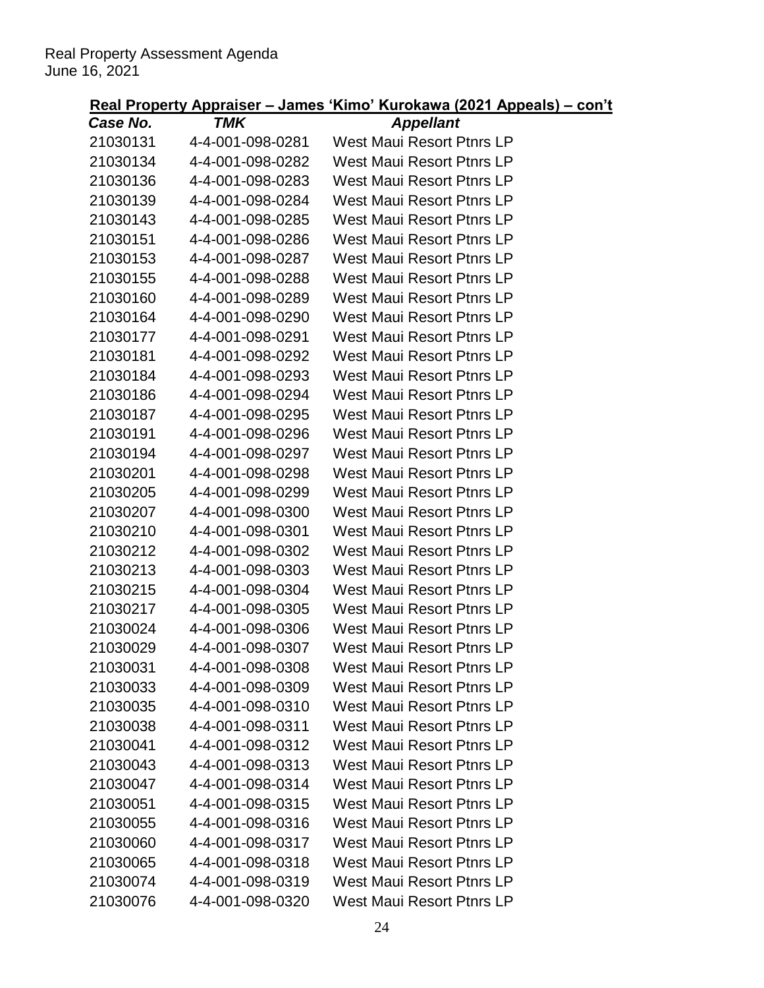| Case No. | TMK              | <b>Appellant</b>                 |
|----------|------------------|----------------------------------|
| 21030131 | 4-4-001-098-0281 | <b>West Maui Resort Ptnrs LP</b> |
| 21030134 | 4-4-001-098-0282 | <b>West Maui Resort Ptnrs LP</b> |
| 21030136 | 4-4-001-098-0283 | <b>West Maui Resort Ptnrs LP</b> |
| 21030139 | 4-4-001-098-0284 | <b>West Maui Resort Ptnrs LP</b> |
| 21030143 | 4-4-001-098-0285 | <b>West Maui Resort Ptnrs LP</b> |
| 21030151 | 4-4-001-098-0286 | West Maui Resort Ptnrs LP        |
| 21030153 | 4-4-001-098-0287 | West Maui Resort Ptnrs LP        |
| 21030155 | 4-4-001-098-0288 | <b>West Maui Resort Ptnrs LP</b> |
| 21030160 | 4-4-001-098-0289 | <b>West Maui Resort Ptnrs LP</b> |
| 21030164 | 4-4-001-098-0290 | <b>West Maui Resort Ptnrs LP</b> |
| 21030177 | 4-4-001-098-0291 | <b>West Maui Resort Ptnrs LP</b> |
| 21030181 | 4-4-001-098-0292 | <b>West Maui Resort Ptnrs LP</b> |
| 21030184 | 4-4-001-098-0293 | <b>West Maui Resort Ptnrs LP</b> |
| 21030186 | 4-4-001-098-0294 | <b>West Maui Resort Ptnrs LP</b> |
| 21030187 | 4-4-001-098-0295 | <b>West Maui Resort Ptnrs LP</b> |
| 21030191 | 4-4-001-098-0296 | West Maui Resort Ptnrs LP        |
| 21030194 | 4-4-001-098-0297 | West Maui Resort Ptnrs LP        |
| 21030201 | 4-4-001-098-0298 | <b>West Maui Resort Ptnrs LP</b> |
| 21030205 | 4-4-001-098-0299 | <b>West Maui Resort Ptnrs LP</b> |
| 21030207 | 4-4-001-098-0300 | <b>West Maui Resort Ptnrs LP</b> |
| 21030210 | 4-4-001-098-0301 | <b>West Maui Resort Ptnrs LP</b> |
| 21030212 | 4-4-001-098-0302 | West Maui Resort Ptnrs LP        |
| 21030213 | 4-4-001-098-0303 | <b>West Maui Resort Ptnrs LP</b> |
| 21030215 | 4-4-001-098-0304 | <b>West Maui Resort Ptnrs LP</b> |
| 21030217 | 4-4-001-098-0305 | <b>West Maui Resort Ptnrs LP</b> |
| 21030024 | 4-4-001-098-0306 | <b>West Maui Resort Ptnrs LP</b> |
| 21030029 | 4-4-001-098-0307 | <b>West Maui Resort Ptnrs LP</b> |
| 21030031 | 4-4-001-098-0308 | West Maui Resort Ptnrs LP        |
| 21030033 | 4-4-001-098-0309 | <b>West Maui Resort Ptnrs LP</b> |
| 21030035 | 4-4-001-098-0310 | <b>West Maui Resort Ptnrs LP</b> |
| 21030038 | 4-4-001-098-0311 | <b>West Maui Resort Ptnrs LP</b> |
| 21030041 | 4-4-001-098-0312 | <b>West Maui Resort Ptnrs LP</b> |
| 21030043 | 4-4-001-098-0313 | <b>West Maui Resort Ptnrs LP</b> |
| 21030047 | 4-4-001-098-0314 | <b>West Maui Resort Ptnrs LP</b> |
| 21030051 | 4-4-001-098-0315 | <b>West Maui Resort Ptnrs LP</b> |
| 21030055 | 4-4-001-098-0316 | <b>West Maui Resort Ptnrs LP</b> |
| 21030060 | 4-4-001-098-0317 | <b>West Maui Resort Ptnrs LP</b> |
| 21030065 | 4-4-001-098-0318 | <b>West Maui Resort Ptnrs LP</b> |
| 21030074 | 4-4-001-098-0319 | <b>West Maui Resort Ptnrs LP</b> |
| 21030076 | 4-4-001-098-0320 | <b>West Maui Resort Ptnrs LP</b> |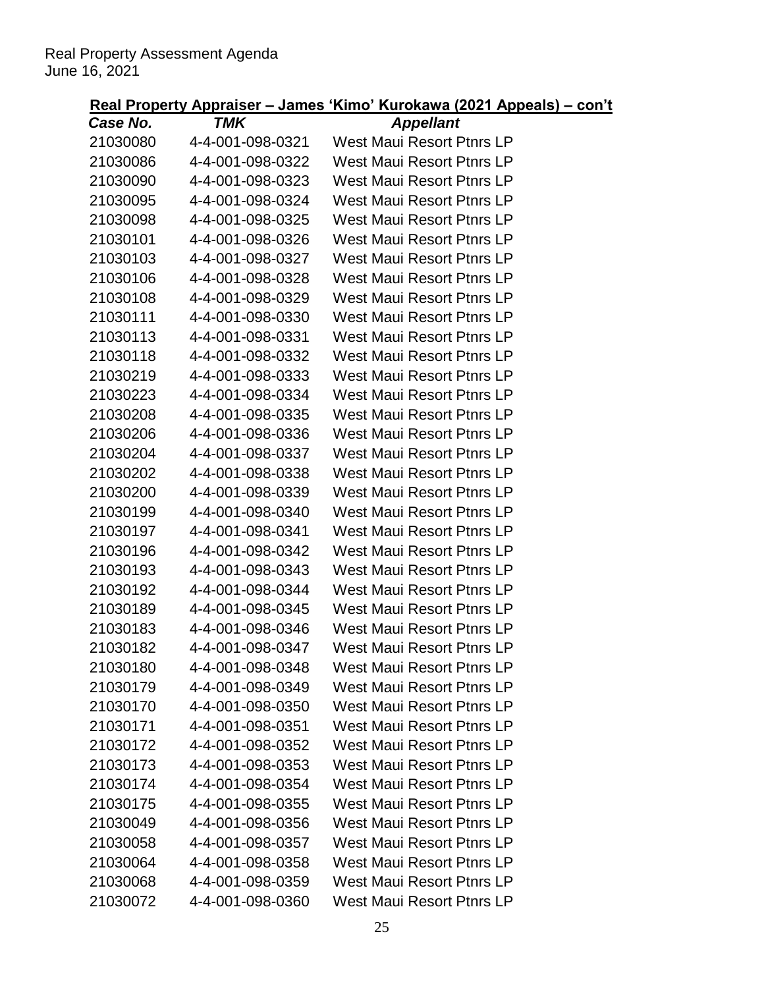| Case No. | TMK              | <b>Appellant</b>                 |
|----------|------------------|----------------------------------|
| 21030080 | 4-4-001-098-0321 | <b>West Maui Resort Ptnrs LP</b> |
| 21030086 | 4-4-001-098-0322 | <b>West Maui Resort Ptnrs LP</b> |
| 21030090 | 4-4-001-098-0323 | <b>West Maui Resort Ptnrs LP</b> |
| 21030095 | 4-4-001-098-0324 | <b>West Maui Resort Ptnrs LP</b> |
| 21030098 | 4-4-001-098-0325 | <b>West Maui Resort Ptnrs LP</b> |
| 21030101 | 4-4-001-098-0326 | West Maui Resort Ptnrs LP        |
| 21030103 | 4-4-001-098-0327 | <b>West Maui Resort Ptnrs LP</b> |
| 21030106 | 4-4-001-098-0328 | <b>West Maui Resort Ptnrs LP</b> |
| 21030108 | 4-4-001-098-0329 | <b>West Maui Resort Ptnrs LP</b> |
| 21030111 | 4-4-001-098-0330 | <b>West Maui Resort Ptnrs LP</b> |
| 21030113 | 4-4-001-098-0331 | <b>West Maui Resort Ptnrs LP</b> |
| 21030118 | 4-4-001-098-0332 | West Maui Resort Ptnrs LP        |
| 21030219 | 4-4-001-098-0333 | <b>West Maui Resort Ptnrs LP</b> |
| 21030223 | 4-4-001-098-0334 | <b>West Maui Resort Ptnrs LP</b> |
| 21030208 | 4-4-001-098-0335 | <b>West Maui Resort Ptnrs LP</b> |
| 21030206 | 4-4-001-098-0336 | West Maui Resort Ptnrs LP        |
| 21030204 | 4-4-001-098-0337 | West Maui Resort Ptnrs LP        |
| 21030202 | 4-4-001-098-0338 | <b>West Maui Resort Ptnrs LP</b> |
| 21030200 | 4-4-001-098-0339 | <b>West Maui Resort Ptnrs LP</b> |
| 21030199 | 4-4-001-098-0340 | <b>West Maui Resort Ptnrs LP</b> |
| 21030197 | 4-4-001-098-0341 | <b>West Maui Resort Ptnrs LP</b> |
| 21030196 | 4-4-001-098-0342 | West Maui Resort Ptnrs LP        |
| 21030193 | 4-4-001-098-0343 | <b>West Maui Resort Ptnrs LP</b> |
| 21030192 | 4-4-001-098-0344 | <b>West Maui Resort Ptnrs LP</b> |
| 21030189 | 4-4-001-098-0345 | <b>West Maui Resort Ptnrs LP</b> |
| 21030183 | 4-4-001-098-0346 | <b>West Maui Resort Ptnrs LP</b> |
| 21030182 | 4-4-001-098-0347 | <b>West Maui Resort Ptnrs LP</b> |
| 21030180 | 4-4-001-098-0348 | West Maui Resort Ptnrs LP        |
| 21030179 | 4-4-001-098-0349 | <b>West Maui Resort Ptnrs LP</b> |
| 21030170 | 4-4-001-098-0350 | <b>West Maui Resort Ptnrs LP</b> |
| 21030171 | 4-4-001-098-0351 | <b>West Maui Resort Ptnrs LP</b> |
| 21030172 | 4-4-001-098-0352 | <b>West Maui Resort Ptnrs LP</b> |
| 21030173 | 4-4-001-098-0353 | <b>West Maui Resort Ptnrs LP</b> |
| 21030174 | 4-4-001-098-0354 | West Maui Resort Ptnrs LP        |
| 21030175 | 4-4-001-098-0355 | <b>West Maui Resort Ptnrs LP</b> |
| 21030049 | 4-4-001-098-0356 | <b>West Maui Resort Ptnrs LP</b> |
| 21030058 | 4-4-001-098-0357 | <b>West Maui Resort Ptnrs LP</b> |
| 21030064 | 4-4-001-098-0358 | <b>West Maui Resort Ptnrs LP</b> |
| 21030068 | 4-4-001-098-0359 | <b>West Maui Resort Ptnrs LP</b> |
| 21030072 | 4-4-001-098-0360 | <b>West Maui Resort Ptnrs LP</b> |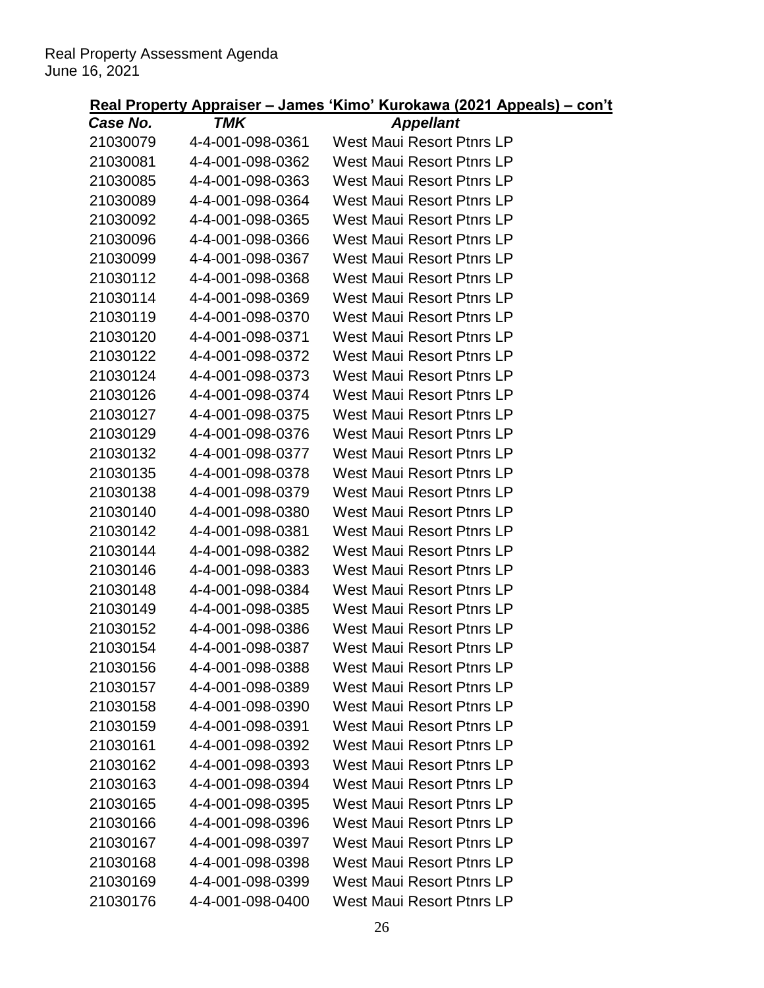| Case No. | TMK              | <b>Appellant</b>                 |
|----------|------------------|----------------------------------|
| 21030079 | 4-4-001-098-0361 | <b>West Maui Resort Ptnrs LP</b> |
| 21030081 | 4-4-001-098-0362 | <b>West Maui Resort Ptnrs LP</b> |
| 21030085 | 4-4-001-098-0363 | <b>West Maui Resort Ptnrs LP</b> |
| 21030089 | 4-4-001-098-0364 | West Maui Resort Ptnrs LP        |
| 21030092 | 4-4-001-098-0365 | <b>West Maui Resort Ptnrs LP</b> |
| 21030096 | 4-4-001-098-0366 | West Maui Resort Ptnrs LP        |
| 21030099 | 4-4-001-098-0367 | West Maui Resort Ptnrs LP        |
| 21030112 | 4-4-001-098-0368 | <b>West Maui Resort Ptnrs LP</b> |
| 21030114 | 4-4-001-098-0369 | <b>West Maui Resort Ptnrs LP</b> |
| 21030119 | 4-4-001-098-0370 | <b>West Maui Resort Ptnrs LP</b> |
| 21030120 | 4-4-001-098-0371 | <b>West Maui Resort Ptnrs LP</b> |
| 21030122 | 4-4-001-098-0372 | <b>West Maui Resort Ptnrs LP</b> |
| 21030124 | 4-4-001-098-0373 | <b>West Maui Resort Ptnrs LP</b> |
| 21030126 | 4-4-001-098-0374 | <b>West Maui Resort Ptnrs LP</b> |
| 21030127 | 4-4-001-098-0375 | <b>West Maui Resort Ptnrs LP</b> |
| 21030129 | 4-4-001-098-0376 | West Maui Resort Ptnrs LP        |
| 21030132 | 4-4-001-098-0377 | West Maui Resort Ptnrs LP        |
| 21030135 | 4-4-001-098-0378 | <b>West Maui Resort Ptnrs LP</b> |
| 21030138 | 4-4-001-098-0379 | <b>West Maui Resort Ptnrs LP</b> |
| 21030140 | 4-4-001-098-0380 | <b>West Maui Resort Ptnrs LP</b> |
| 21030142 | 4-4-001-098-0381 | <b>West Maui Resort Ptnrs LP</b> |
| 21030144 | 4-4-001-098-0382 | West Maui Resort Ptnrs LP        |
| 21030146 | 4-4-001-098-0383 | <b>West Maui Resort Ptnrs LP</b> |
| 21030148 | 4-4-001-098-0384 | <b>West Maui Resort Ptnrs LP</b> |
| 21030149 | 4-4-001-098-0385 | <b>West Maui Resort Ptnrs LP</b> |
| 21030152 | 4-4-001-098-0386 | <b>West Maui Resort Ptnrs LP</b> |
| 21030154 | 4-4-001-098-0387 | <b>West Maui Resort Ptnrs LP</b> |
| 21030156 | 4-4-001-098-0388 | West Maui Resort Ptnrs LP        |
| 21030157 | 4-4-001-098-0389 | <b>West Maui Resort Ptnrs LP</b> |
| 21030158 | 4-4-001-098-0390 | <b>West Maui Resort Ptnrs LP</b> |
| 21030159 | 4-4-001-098-0391 | <b>West Maui Resort Ptnrs LP</b> |
| 21030161 | 4-4-001-098-0392 | <b>West Maui Resort Ptnrs LP</b> |
| 21030162 | 4-4-001-098-0393 | <b>West Maui Resort Ptnrs LP</b> |
| 21030163 | 4-4-001-098-0394 | <b>West Maui Resort Ptnrs LP</b> |
| 21030165 | 4-4-001-098-0395 | <b>West Maui Resort Ptnrs LP</b> |
| 21030166 | 4-4-001-098-0396 | <b>West Maui Resort Ptnrs LP</b> |
| 21030167 | 4-4-001-098-0397 | <b>West Maui Resort Ptnrs LP</b> |
| 21030168 | 4-4-001-098-0398 | <b>West Maui Resort Ptnrs LP</b> |
| 21030169 | 4-4-001-098-0399 | <b>West Maui Resort Ptnrs LP</b> |
| 21030176 | 4-4-001-098-0400 | <b>West Maui Resort Ptnrs LP</b> |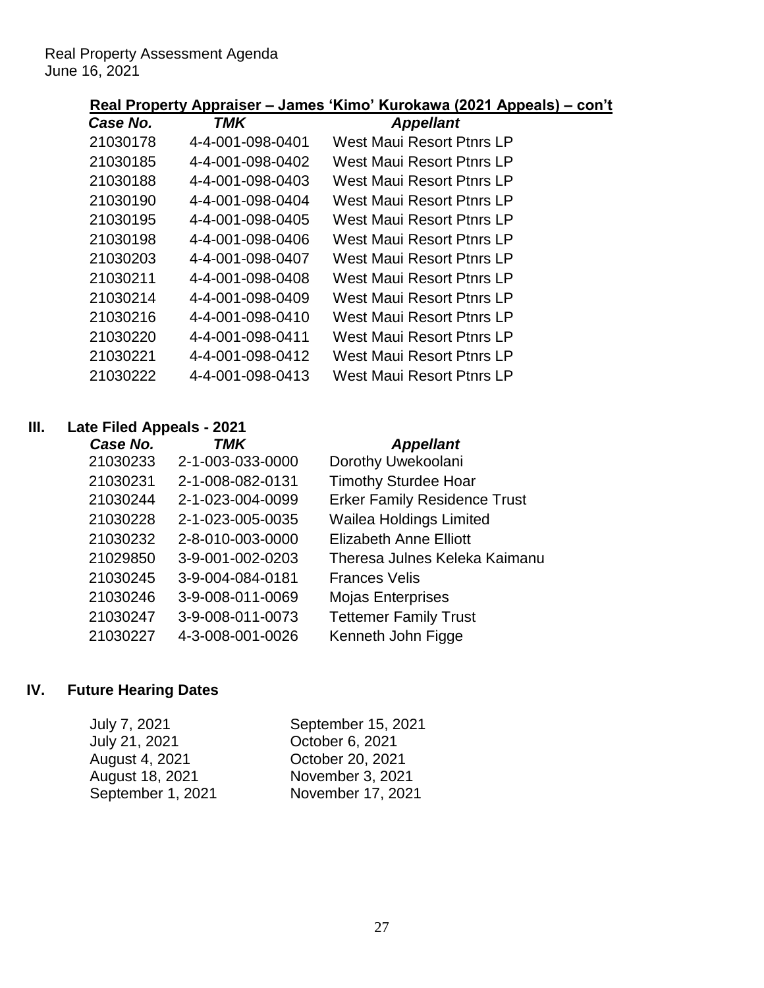## **Real Property Appraiser – James 'Kimo' Kurokawa (2021 Appeals) – con't**

| Case No. | TMK              | <b>Appellant</b>                 |
|----------|------------------|----------------------------------|
| 21030178 | 4-4-001-098-0401 | West Maui Resort Ptnrs LP        |
| 21030185 | 4-4-001-098-0402 | West Maui Resort Ptnrs LP        |
| 21030188 | 4-4-001-098-0403 | West Maui Resort Ptnrs LP        |
| 21030190 | 4-4-001-098-0404 | West Maui Resort Ptnrs LP        |
| 21030195 | 4-4-001-098-0405 | <b>West Maui Resort Ptnrs LP</b> |
| 21030198 | 4-4-001-098-0406 | West Maui Resort Ptnrs LP        |
| 21030203 | 4-4-001-098-0407 | West Maui Resort Ptnrs I P       |
| 21030211 | 4-4-001-098-0408 | West Maui Resort Ptnrs LP        |
| 21030214 | 4-4-001-098-0409 | West Maui Resort Ptnrs LP        |
| 21030216 | 4-4-001-098-0410 | West Maui Resort Ptnrs LP        |
| 21030220 | 4-4-001-098-0411 | West Maui Resort Ptnrs LP        |
| 21030221 | 4-4-001-098-0412 | West Maui Resort Ptnrs LP        |
| 21030222 | 4-4-001-098-0413 | West Maui Resort Ptnrs LP        |
|          |                  |                                  |

### **III. Late Filed Appeals - 2021**

| Case No. | <b>TMK</b>       | <b>Appellant</b>                    |
|----------|------------------|-------------------------------------|
| 21030233 | 2-1-003-033-0000 | Dorothy Uwekoolani                  |
| 21030231 | 2-1-008-082-0131 | <b>Timothy Sturdee Hoar</b>         |
| 21030244 | 2-1-023-004-0099 | <b>Erker Family Residence Trust</b> |
| 21030228 | 2-1-023-005-0035 | <b>Wailea Holdings Limited</b>      |
| 21030232 | 2-8-010-003-0000 | Elizabeth Anne Elliott              |
| 21029850 | 3-9-001-002-0203 | Theresa Julnes Keleka Kaimanu       |
| 21030245 | 3-9-004-084-0181 | <b>Frances Velis</b>                |
| 21030246 | 3-9-008-011-0069 | <b>Mojas Enterprises</b>            |
| 21030247 | 3-9-008-011-0073 | <b>Tettemer Family Trust</b>        |
| 21030227 | 4-3-008-001-0026 | Kenneth John Figge                  |
|          |                  |                                     |

## **IV. Future Hearing Dates**

| July 7, 2021      | September 15, 2021 |
|-------------------|--------------------|
| July 21, 2021     | October 6, 2021    |
| August 4, 2021    | October 20, 2021   |
| August 18, 2021   | November 3, 2021   |
| September 1, 2021 | November 17, 2021  |